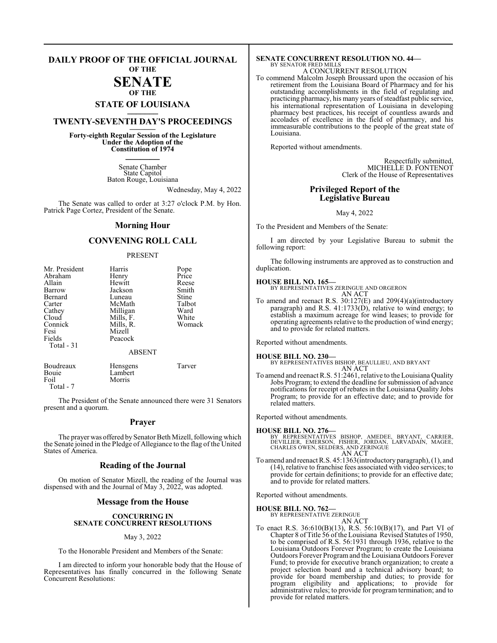### **DAILY PROOF OF THE OFFICIAL JOURNAL OF THE**

### **SENATE**

### **OF THE STATE OF LOUISIANA \_\_\_\_\_\_\_**

### **TWENTY-SEVENTH DAY'S PROCEEDINGS \_\_\_\_\_\_\_**

**Forty-eighth Regular Session of the Legislature Under the Adoption of the Constitution of 1974 \_\_\_\_\_\_\_**

> Senate Chamber State Capitol Baton Rouge, Louisiana

> > Wednesday, May 4, 2022

The Senate was called to order at 3:27 o'clock P.M. by Hon. Patrick Page Cortez, President of the Senate.

### **Morning Hour**

### **CONVENING ROLL CALL**

### PRESENT

| Mr. President | Harris          | Pope   |
|---------------|-----------------|--------|
| Abraham       | Henry           | Price  |
| Allain        | Hewitt          | Reese  |
| Barrow        | Jackson         | Smith  |
| Bernard       | Luneau          | Stine  |
| Carter        | McMath          | Talbot |
| Cathey        | Milligan        | Ward   |
| Cloud         | Mills, F.       | White  |
| Connick       | Mills, R.       | Womack |
| Fesi          | Mizell          |        |
| Fields        | Peacock         |        |
| Total $-31$   |                 |        |
|               | <b>ABSENT</b>   |        |
| Boudreaux     | <b>Hensgens</b> | Tarver |
| Bouie         | Lambert         |        |
| Foil          | Morris          |        |

Total - 7

The President of the Senate announced there were 31 Senators present and a quorum.

### **Prayer**

The prayer was offered by Senator Beth Mizell, following which the Senate joined in the Pledge of Allegiance to the flag of the United States of America.

### **Reading of the Journal**

On motion of Senator Mizell, the reading of the Journal was dispensed with and the Journal of May 3, 2022, was adopted.

### **Message from the House**

### **CONCURRING IN SENATE CONCURRENT RESOLUTIONS**

### May 3, 2022

To the Honorable President and Members of the Senate:

I am directed to inform your honorable body that the House of Representatives has finally concurred in the following Senate Concurrent Resolutions:

### **SENATE CONCURRENT RESOLUTION NO. 44—** BY SENATOR FRED MILLS A CONCURRENT RESOLUTION

To commend Malcolm Joseph Broussard upon the occasion of his retirement from the Louisiana Board of Pharmacy and for his outstanding accomplishments in the field of regulating and practicing pharmacy, his many years of steadfast public service, his international representation of Louisiana in developing pharmacy best practices, his receipt of countless awards and accolades of excellence in the field of pharmacy, and his immeasurable contributions to the people of the great state of Louisiana.

Reported without amendments.

Respectfully submitted, MICHELLE D. FONTENOT Clerk of the House of Representatives

### **Privileged Report of the Legislative Bureau**

May 4, 2022

To the President and Members of the Senate:

I am directed by your Legislative Bureau to submit the following report:

The following instruments are approved as to construction and duplication.

**HOUSE BILL NO. 165—** BY REPRESENTATIVES ZERINGUE AND ORGERON AN ACT

To amend and reenact R.S. 30:127(E) and 209(4)(a)(introductory paragraph) and R.S.  $41:1733(\dot{D})$ , relative to wind energy; to establish a maximum acreage for wind leases; to provide for operating agreements relative to the production of wind energy; and to provide for related matters.

Reported without amendments.

**HOUSE BILL NO. 230—** BY REPRESENTATIVES BISHOP, BEAULLIEU, AND BRYANT AN ACT

To amend and reenact R.S. 51:2461, relative to the Louisiana Quality Jobs Program; to extend the deadline for submission of advance notifications for receipt of rebates in the Louisiana Quality Jobs Program; to provide for an effective date; and to provide for related matters.

Reported without amendments.

### **HOUSE BILL NO. 276—**

BY REPRESENTATIVES BISHOP, AMEDEE, BRYANT, CARRIER,<br>DEVILLIER, EMERSON, FISHER, JORDAN, LARVADAIN, MAGEE,<br>CHARLES OWEN,SELDERS,AND ZERINGUE AN ACT

To amend and reenact R.S. 45:1363(introductory paragraph), (1), and (14), relative to franchise fees associated with video services; to provide for certain definitions; to provide for an effective date; and to provide for related matters.

Reported without amendments.

**HOUSE BILL NO. 762—** BY REPRESENTATIVE ZERINGUE

AN ACT

To enact R.S. 36:610(B)(13), R.S. 56:10(B)(17), and Part VI of Chapter 8 of Title 56 of the Louisiana Revised Statutes of 1950, to be comprised of R.S. 56:1931 through 1936, relative to the Louisiana Outdoors Forever Program; to create the Louisiana Outdoors Forever Programand the Louisiana Outdoors Forever Fund; to provide for executive branch organization; to create a project selection board and a technical advisory board; to provide for board membership and duties; to provide for program eligibility and applications; to provide for administrative rules; to provide for program termination; and to provide for related matters.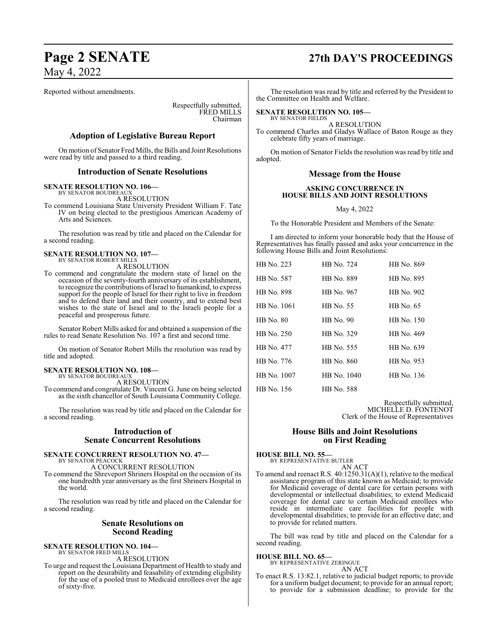Reported without amendments.

Respectfully submitted, FRED MILLS Chairman

### **Adoption of Legislative Bureau Report**

On motion of Senator Fred Mills, the Bills and Joint Resolutions were read by title and passed to a third reading.

### **Introduction of Senate Resolutions**

**SENATE RESOLUTION NO. 106—**

BY SENATOR BOUDREAUX A RESOLUTION

To commend Louisiana State University President William F. Tate IV on being elected to the prestigious American Academy of Arts and Sciences.

The resolution was read by title and placed on the Calendar for a second reading.

### **SENATE RESOLUTION NO. 107—**

BY SENATOR ROBERT MILLS A RESOLUTION

To commend and congratulate the modern state of Israel on the occasion of the seventy-fourth anniversary of its establishment, to recognize the contributions ofIsrael to humankind, to express support for the people of Israel for their right to live in freedom and to defend their land and their country, and to extend best wishes to the state of Israel and to the Israeli people for a peaceful and prosperous future.

Senator Robert Mills asked for and obtained a suspension of the rules to read Senate Resolution No. 107 a first and second time.

On motion of Senator Robert Mills the resolution was read by title and adopted.

### **SENATE RESOLUTION NO. 108—**

BY SENATOR BOUDREAUX A RESOLUTION

To commend and congratulate Dr. Vincent G. June on being selected as the sixth chancellor of South Louisiana Community College.

The resolution was read by title and placed on the Calendar for a second reading.

### **Introduction of Senate Concurrent Resolutions**

### **SENATE CONCURRENT RESOLUTION NO. 47—** BY SENATOR PEACOCK

A CONCURRENT RESOLUTION

To commend the Shreveport Shriners Hospital on the occasion of its one hundredth year anniversary as the first Shriners Hospital in the world.

The resolution was read by title and placed on the Calendar for a second reading.

### **Senate Resolutions on Second Reading**

**SENATE RESOLUTION NO. 104—** BY SENATOR FRED MILLS

A RESOLUTION

To urge and request the Louisiana Department of Health to study and report on the desirability and feasability of extending eligibility for the use of a pooled trust to Medicaid enrollees over the age of sixty-five.

## **Page 2 SENATE 27th DAY'S PROCEEDINGS**

The resolution was read by title and referred by the President to the Committee on Health and Welfare.

### **SENATE RESOLUTION NO. 105—**

BY SENATOR FIELDS A RESOLUTION

To commend Charles and Gladys Wallace of Baton Rouge as they celebrate fifty years of marriage.

On motion of Senator Fields the resolution was read by title and adopted.

### **Message from the House**

### **ASKING CONCURRENCE IN HOUSE BILLS AND JOINT RESOLUTIONS**

May 4, 2022

To the Honorable President and Members of the Senate:

I am directed to inform your honorable body that the House of Representatives has finally passed and asks your concurrence in the following House Bills and Joint Resolutions:

| HB No. 223       | HB No. 724  | HB No. 869 |
|------------------|-------------|------------|
| HB No. 587       | HB No. 889  | HB No. 895 |
| HB No. 898       | HB No. 967  | HB No. 902 |
| HB No. 1061      | HB No. 55   | HB No. 65  |
| <b>HB</b> No. 80 | $HB$ No. 90 | HB No. 150 |
| HB No. 250       | HB No. 329  | HB No. 469 |
| HB No. 477       | HB No. 555  | HB No. 639 |
| HB No. 776       | HB No. 860  | HB No. 953 |
| HB No. 1007      | HB No. 1040 | HB No. 136 |
| HB No. 156       | HB No. 588  |            |

Respectfully submitted, MICHELLE D. FONTENOT Clerk of the House of Representatives

### **House Bills and Joint Resolutions on First Reading**

**HOUSE BILL NO. 55—** BY REPRESENTATIVE BUTLER

AN ACT

To amend and reenact R.S. 40:1250.31(A)(1), relative to the medical assistance program of this state known as Medicaid; to provide for Medicaid coverage of dental care for certain persons with developmental or intellectual disabilities; to extend Medicaid coverage for dental care to certain Medicaid enrollees who reside in intermediate care facilities for people with developmental disabilities; to provide for an effective date; and to provide for related matters.

The bill was read by title and placed on the Calendar for a second reading.

**HOUSE BILL NO. 65—**

BY REPRESENTATIVE ZERINGUE AN ACT

To enact R.S. 13:82.1, relative to judicial budget reports; to provide for a uniform budget document; to provide for an annual report; to provide for a submission deadline; to provide for the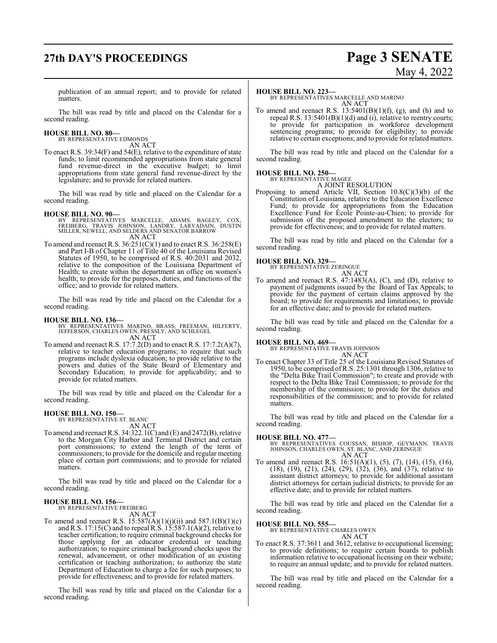## **27th DAY'S PROCEEDINGS Page 3 SENATE**

# May 4, 2022

publication of an annual report; and to provide for related matters.

The bill was read by title and placed on the Calendar for a second reading.

### **HOUSE BILL NO. 80—** BY REPRESENTATIVE EDMONDS

AN ACT

To enact R.S. 39:34(F) and 54(E), relative to the expenditure of state funds; to limit recommended appropriations from state general fund revenue-direct in the executive budget; to limit appropriations from state general fund revenue-direct by the legislature; and to provide for related matters.

The bill was read by title and placed on the Calendar for a second reading.

### **HOUSE BILL NO. 90—**

- BY REPRESENTATIVES MARCELLE, ADAMS, BAGLEY, COX,<br>FREIBERG, TRAVIS JOHNSON, LANDRY, LARVADAIN, DUSTIN<br>MILLER,NEWELL,AND SELDERS AND SENATOR BARROW AN ACT
- To amend and reenact R.S.  $36:251(C)(1)$  and to enact R.S.  $36:258(E)$ and Part I-B of Chapter 11 of Title 40 of the Louisiana Revised Statutes of 1950, to be comprised of R.S. 40:2031 and 2032, relative to the composition of the Louisiana Department of Health; to create within the department an office on women's health; to provide for the purposes, duties, and functions of the office; and to provide for related matters.

The bill was read by title and placed on the Calendar for a second reading.

**HOUSE BILL NO. 136—** BY REPRESENTATIVES MARINO, BRASS, FREEMAN, HILFERTY, JEFFERSON, CHARLES OWEN, PRESSLY, AND SCHLEGEL AN ACT

To amend and reenact R.S. 17:7.2(D) and to enact R.S. 17:7.2(A)(7), relative to teacher education programs; to require that such programs include dyslexia education; to provide relative to the powers and duties of the State Board of Elementary and Secondary Education; to provide for applicability; and to provide for related matters.

The bill was read by title and placed on the Calendar for a second reading.

### **HOUSE BILL NO. 150—**

BY REPRESENTATIVE ST. BLANC AN ACT

To amend and reenact R.S. 34:322.1(C) and (E) and 2472(B), relative to the Morgan City Harbor and Terminal District and certain port commissions; to extend the length of the term of commissioners; to provide for the domicile and regular meeting place of certain port commissions; and to provide for related matters.

The bill was read by title and placed on the Calendar for a second reading.

### **HOUSE BILL NO. 156—** BY REPRESENTATIVE FREIBERG

AN ACT

To amend and reenact R.S.  $15:587(A)(1)(j)(ii)$  and  $587.1(B)(1)(c)$ and R.S. 17:15(C) and to repeal R.S. 15:587.1(A)(2), relative to teacher certification; to require criminal background checks for those applying for an educator credential or teaching authorization; to require criminal background checks upon the renewal, advancement, or other modification of an existing certification or teaching authorization; to authorize the state Department of Education to charge a fee for such purposes; to provide for effectiveness; and to provide for related matters.

The bill was read by title and placed on the Calendar for a second reading.

### **HOUSE BILL NO. 223—**

BY REPRESENTATIVES MARCELLE AND MARINO AN ACT

To amend and reenact R.S.  $13:5401(B)(1)(f)$ , (g), and (h) and to repeal R.S. 13:5401(B)(1)(d) and (i), relative to reentry courts; to provide for participation in workforce development sentencing programs; to provide for eligibility; to provide relative to certain exceptions; and to provide for related matters.

The bill was read by title and placed on the Calendar for a second reading.

### **HOUSE BILL NO. 250—**

BY REPRESENTATIVE MAGEE A JOINT RESOLUTION

Proposing to amend Article VII, Section 10.8(C)(3)(b) of the Constitution of Louisiana, relative to the Education Excellence Fund; to provide for appropriations from the Education Excellence Fund for École Pointe-au-Chien; to provide for submission of the proposed amendment to the electors; to provide for effectiveness; and to provide for related matters.

The bill was read by title and placed on the Calendar for a second reading.

### **HOUSE BILL NO. 329—**



To amend and reenact R.S. 47:1483(A), (C), and (D), relative to payment of judgments issued by the Board of Tax Appeals; to provide for the payment of certain claims approved by the board; to provide for requirements and limitations; to provide for an effective date; and to provide for related matters.

The bill was read by title and placed on the Calendar for a second reading.

### **HOUSE BILL NO. 469—**

BY REPRESENTATIVE TRAVIS JOHNSON

AN ACT To enact Chapter 33 of Title 25 of the Louisiana Revised Statutes of 1950, to be comprised ofR.S. 25:1301 through 1306, relative to the "Delta Bike Trail Commission"; to create and provide with respect to the Delta Bike Trail Commission; to provide for the membership of the commission; to provide for the duties and responsibilities of the commission; and to provide for related matters.

The bill was read by title and placed on the Calendar for a second reading.

**HOUSE BILL NO. 477—** BY REPRESENTATIVES COUSSAN, BISHOP, GEYMANN, TRAVIS JOHNSON, CHARLES OWEN, ST. BLANC, AND ZERINGUE AN ACT

To amend and reenact R.S. 16:51(A)(1), (5), (7), (14), (15), (16), (18), (19), (21), (24), (29), (32), (36), and (37), relative to assistant district attorneys; to provide for additional assistant district attorneys for certain judicial districts; to provide for an effective date; and to provide for related matters.

The bill was read by title and placed on the Calendar for a second reading.

### **HOUSE BILL NO. 555—**

BY REPRESENTATIVE CHARLES OWEN

### AN ACT

To enact R.S. 37:3611 and 3612, relative to occupational licensing; to provide definitions; to require certain boards to publish information relative to occupational licensing on their website; to require an annual update; and to provide for related matters.

The bill was read by title and placed on the Calendar for a second reading.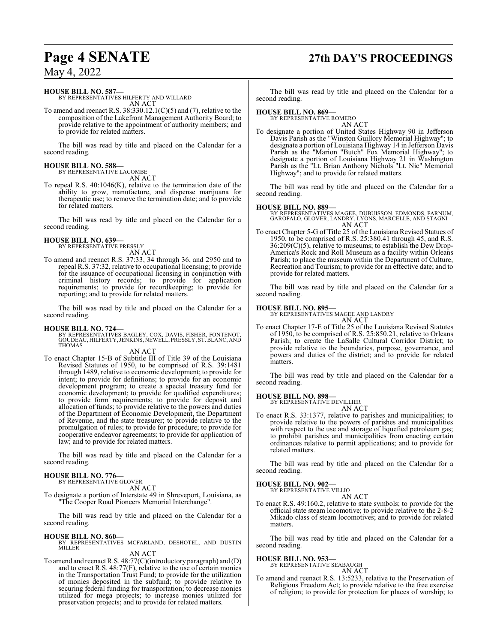## **Page 4 SENATE 27th DAY'S PROCEEDINGS**

May 4, 2022

### **HOUSE BILL NO. 587—**

BY REPRESENTATIVES HILFERTY AND WILLARD AN ACT

To amend and reenact R.S. 38:330.12.1(C)(5) and (7), relative to the composition of the Lakefront Management Authority Board; to provide relative to the appointment of authority members; and to provide for related matters.

The bill was read by title and placed on the Calendar for a second reading.

#### **HOUSE BILL NO. 588—** BY REPRESENTATIVE LACOMBE

AN ACT

To repeal R.S. 40:1046(K), relative to the termination date of the ability to grow, manufacture, and dispense marijuana for therapeutic use; to remove the termination date; and to provide for related matters.

The bill was read by title and placed on the Calendar for a second reading.

#### **HOUSE BILL NO. 639—** BY REPRESENTATIVE PRESSLY

AN ACT

To amend and reenact R.S. 37:33, 34 through 36, and 2950 and to repeal R.S. 37:32, relative to occupational licensing; to provide for the issuance of occupational licensing in conjunction with criminal history records; to provide for application requirements; to provide for recordkeeping; to provide for reporting; and to provide for related matters.

The bill was read by title and placed on the Calendar for a second reading.

**HOUSE BILL NO. 724—** BY REPRESENTATIVES BAGLEY, COX, DAVIS, FISHER, FONTENOT, GOUDEAU, HILFERTY, JENKINS, NEWELL, PRESSLY, ST. BLANC, AND THOMAS

### AN ACT

To enact Chapter 15-B of Subtitle III of Title 39 of the Louisiana Revised Statutes of 1950, to be comprised of R.S. 39:1481 through 1489, relative to economic development; to provide for intent; to provide for definitions; to provide for an economic development program; to create a special treasury fund for economic development; to provide for qualified expenditures; to provide form requirements; to provide for deposit and allocation of funds; to provide relative to the powers and duties of the Department of Economic Development, the Department of Revenue, and the state treasurer; to provide relative to the promulgation of rules; to provide for procedure; to provide for cooperative endeavor agreements; to provide for application of law; and to provide for related matters.

The bill was read by title and placed on the Calendar for a second reading.

**HOUSE BILL NO. 776—** BY REPRESENTATIVE GLOVER

AN ACT

To designate a portion of Interstate 49 in Shreveport, Louisiana, as "The Cooper Road Pioneers Memorial Interchange".

The bill was read by title and placed on the Calendar for a second reading.

**HOUSE BILL NO. 860—** BY REPRESENTATIVES MCFARLAND, DESHOTEL, AND DUSTIN MILLER

### AN ACT

To amend and reenact R.S. 48:77(C)(introductory paragraph) and (D) and to enact R.S. 48:77(F), relative to the use of certain monies in the Transportation Trust Fund; to provide for the utilization of monies deposited in the subfund; to provide relative to securing federal funding for transportation; to decrease monies utilized for mega projects; to increase monies utilized for preservation projects; and to provide for related matters.

The bill was read by title and placed on the Calendar for a second reading.

### **HOUSE BILL NO. 869—**

BY REPRESENTATIVE ROMERO AN ACT

To designate a portion of United States Highway 90 in Jefferson Davis Parish as the "Winston Guillory Memorial Highway"; to designate a portion of Louisiana Highway 14 in Jefferson Davis Parish as the "Marion "Butch" Fox Memorial Highway"; to designate a portion of Louisiana Highway 21 in Washington Parish as the "Lt. Brian Anthony Nichols "Lt. Nic" Memorial Highway"; and to provide for related matters.

The bill was read by title and placed on the Calendar for a second reading.

### **HOUSE BILL NO. 889—**

BY REPRESENTATIVES MAGEE, DUBUISSON, EDMONDS, FARNUM, GAROFALO, GLOVER, LANDRY, LYONS, MARCELLE, AND STAGNI AN ACT

To enact Chapter 5-G of Title 25 of the Louisiana Revised Statues of 1950, to be comprised of R.S. 25:380.41 through 45, and R.S. 36:209(C)(5), relative to museums; to establish the Dew Drop-America's Rock and Roll Museum as a facility within Orleans Parish; to place the museum within the Department of Culture, Recreation and Tourism; to provide for an effective date; and to provide for related matters.

The bill was read by title and placed on the Calendar for a second reading.

### **HOUSE BILL NO. 895—**

BY REPRESENTATIVES MAGEE AND LANDRY

- AN ACT To enact Chapter 17-E of Title 25 of the Louisiana Revised Statutes of 1950, to be comprised of R.S. 25:850.21, relative to Orleans Parish; to create the LaSalle Cultural Corridor District; to
- provide relative to the boundaries, purpose, governance, and powers and duties of the district; and to provide for related matters.

The bill was read by title and placed on the Calendar for a second reading.

### **HOUSE BILL NO. 898—**

BY REPRESENTATIVE DEVILLIER AN ACT

To enact R.S. 33:1377, relative to parishes and municipalities; to provide relative to the powers of parishes and municipalities with respect to the use and storage of liquefied petroleum gas; to prohibit parishes and municipalities from enacting certain ordinances relative to permit applications; and to provide for related matters.

The bill was read by title and placed on the Calendar for a second reading.

### **HOUSE BILL NO. 902—**

BY REPRESENTATIVE VILLIO AN ACT

To enact R.S. 49:160.2, relative to state symbols; to provide for the official state steam locomotive; to provide relative to the 2-8-2 Mikado class of steam locomotives; and to provide for related matters.

The bill was read by title and placed on the Calendar for a second reading.

### **HOUSE BILL NO. 953—**

BY REPRESENTATIVE SEABAUGH AN ACT

To amend and reenact R.S. 13:5233, relative to the Preservation of Religious Freedom Act; to provide relative to the free exercise of religion; to provide for protection for places of worship; to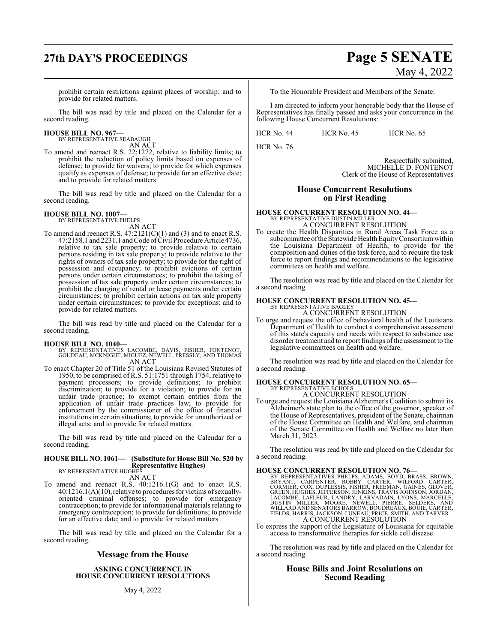## **27th DAY'S PROCEEDINGS Page 5 SENATE**

prohibit certain restrictions against places of worship; and to provide for related matters.

The bill was read by title and placed on the Calendar for a second reading.

### **HOUSE BILL NO. 967—**

BY REPRESENTATIVE SEABAUGH

AN ACT To amend and reenact R.S. 22:1272, relative to liability limits; to prohibit the reduction of policy limits based on expenses of defense; to provide for waivers; to provide for which expenses qualify as expenses of defense; to provide for an effective date; and to provide for related matters.

The bill was read by title and placed on the Calendar for a second reading.

### **HOUSE BILL NO. 1007—**

BY REPRESENTATIVE PHELPS

AN ACT To amend and reenact R.S.  $47:2121(C)(1)$  and (3) and to enact R.S. 47:2158.1 and 2231.1 and Code ofCivil Procedure Article 4736, relative to tax sale property; to provide relative to certain persons residing in tax sale property; to provide relative to the rights of owners of tax sale property; to provide for the right of possession and occupancy; to prohibit evictions of certain persons under certain circumstances; to prohibit the taking of possession of tax sale property under certain circumstances; to prohibit the charging of rental or lease payments under certain circumstances; to prohibit certain actions on tax sale property under certain circumstances; to provide for exceptions; and to provide for related matters.

The bill was read by title and placed on the Calendar for a second reading.

- **HOUSE BILL NO. 1040—** BY REPRESENTATIVES LACOMBE, DAVIS, FISHER, FONTENOT, GOUDEAU, MCKNIGHT, MIGUEZ, NEWELL, PRESSLY, AND THOMAS AN ACT
- To enact Chapter 20 of Title 51 of the Louisiana Revised Statutes of 1950, to be comprised of R.S. 51:1751 through 1754, relative to payment processors; to provide definitions; to prohibit discrimination; to provide for a violation; to provide for an unfair trade practice; to exempt certain entities from the application of unfair trade practices law; to provide for enforcement by the commissioner of the office of financial institutions in certain situations; to provide for unauthorized or illegal acts; and to provide for related matters.

The bill was read by title and placed on the Calendar for a second reading.

### **HOUSE BILL NO. 1061— (Substitute for House Bill No. 520 by Representative Hughes)**<br>BY REPRESENTATIVE HUGHES

AN ACT

To amend and reenact R.S. 40:1216.1(G) and to enact R.S. 40:1216.1(A)(10),relative to procedures for victims ofsexuallyoriented criminal offenses; to provide for emergency contraception; to provide for informational materials relating to emergency contraception; to provide for definitions; to provide for an effective date; and to provide for related matters.

The bill was read by title and placed on the Calendar for a second reading.

### **Message from the House**

### **ASKING CONCURRENCE IN HOUSE CONCURRENT RESOLUTIONS**

May 4, 2022

To the Honorable President and Members of the Senate:

I am directed to inform your honorable body that the House of Representatives has finally passed and asks your concurrence in the following House Concurrent Resolutions:

HCR No. 44 HCR No. 45 HCR No. 65

HCR No. 76

Respectfully submitted, MICHELLE D. FONTENOT Clerk of the House of Representatives

### **House Concurrent Resolutions on First Reading**

**HOUSE CONCURRENT RESOLUTION NO. 44—** BY REPRESENTATIVE DUSTIN MILLER A CONCURRENT RESOLUTION

To create the Health Disparities in Rural Areas Task Force as a subcommittee of the Statewide Health Equity Consortium within the Louisiana Department of Health, to provide for the composition and duties of the task force, and to require the task force to report findings and recommendations to the legislative committees on health and welfare.

The resolution was read by title and placed on the Calendar for a second reading.

## **HOUSE CONCURRENT RESOLUTION NO. 45—** BY REPRESENTATIVE BAGLEY

A CONCURRENT RESOLUTION

To urge and request the office of behavioral health of the Louisiana Department of Health to conduct a comprehensive assessment of this state's capacity and needs with respect to substance use disorder treatment and to report findings of the assessment to the legislative committees on health and welfare.

The resolution was read by title and placed on the Calendar for a second reading.

## **HOUSE CONCURRENT RESOLUTION NO. 65—** BY REPRESENTATIVE ECHOLS

A CONCURRENT RESOLUTION

To urge and request the Louisiana Alzheimer's Coalition to submit its Alzheimer's state plan to the office of the governor, speaker of the House of Representatives, president of the Senate, chairman of the House Committee on Health and Welfare, and chairman of the Senate Committee on Health and Welfare no later than March 31, 2023.

The resolution was read by title and placed on the Calendar for a second reading.

HOUSE CONCURRENT RESOLUTION NO. 76-<br>BY REPRESENTATIVES PHELPS, ADAMS, BOYD, BRASS, BROWN,<br>BRYANT, CARPENTER, ROBBY CARTER, WILFORD CARTER,<br>CORMIER, COX, DUPLESSIS, FISHER, FREEMAN, GAINES, GLOVER,<br>GREEN, HUGHES, JEFFERSON, A CONCURRENT RESOLUTION

To express the support of the Legislature of Louisiana for equitable access to transformative therapies for sickle cell disease.

The resolution was read by title and placed on the Calendar for a second reading.

### **House Bills and Joint Resolutions on Second Reading**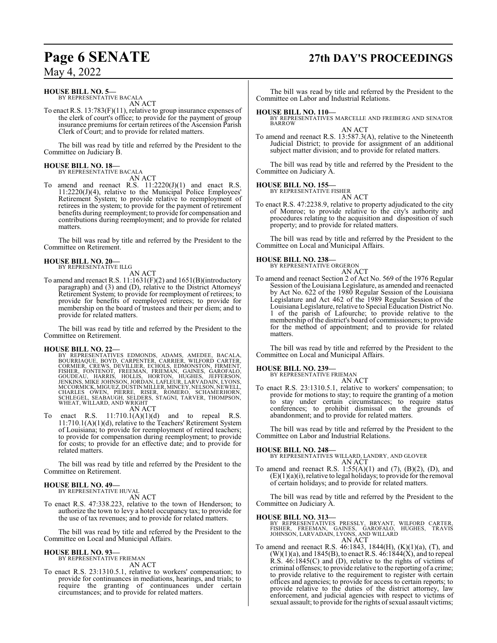### **HOUSE BILL NO. 5—**

BY REPRESENTATIVE BACALA AN ACT

To enact R.S. 13:783(F)(11), relative to group insurance expenses of the clerk of court's office; to provide for the payment of group insurance premiums for certain retirees of the Ascension Parish Clerk of Court; and to provide for related matters.

The bill was read by title and referred by the President to the Committee on Judiciary B.

#### **HOUSE BILL NO. 18—** BY REPRESENTATIVE BACALA

AN ACT

To amend and reenact R.S.  $11:2220(J)(1)$  and enact R.S. 11:2220(J)(4), relative to the Municipal Police Employees' Retirement System; to provide relative to reemployment of retirees in the system; to provide for the payment of retirement benefits during reemployment; to provide for compensation and contributions during reemployment; and to provide for related matters.

The bill was read by title and referred by the President to the Committee on Retirement.

### **HOUSE BILL NO. 20—** BY REPRESENTATIVE ILLG

AN ACT

To amend and reenact R.S. 11:1631(F)(2) and 1651(B)(introductory paragraph) and (3) and (D), relative to the District Attorneys' Retirement System; to provide for reemployment of retirees; to provide for benefits of reemployed retirees; to provide for membership on the board of trustees and their per diem; and to provide for related matters.

The bill was read by title and referred by the President to the Committee on Retirement.

### **HOUSE BILL NO. 22—**

BY REPRESENTATIVES EDMONDS, ADAMS, AMEDEE, BACALA,<br>BOURRIAQUE, BOYD, CARPENTER, CARRIER, WILFORD CARTER,<br>CORMIER, CREWS, DEVILLIER, ECHOLS, EDMONSTON, FIRMENT,<br>FISHER, FONTENOT, FREEMAN, FRIEMAN, GAINES, GAROFALO,<br>GOUDEAU,

AN ACT

To enact R.S.  $11:710.1(A)(1)(d)$  and to repeal R.S. 11:710.1(A)(1)(d), relative to the Teachers' Retirement System of Louisiana; to provide for reemployment of retired teachers; to provide for compensation during reemployment; to provide for costs; to provide for an effective date; and to provide for related matters.

The bill was read by title and referred by the President to the Committee on Retirement.

### **HOUSE BILL NO. 49—** BY REPRESENTATIVE HUVAL

AN ACT

To enact R.S. 47:338.223, relative to the town of Henderson; to authorize the town to levy a hotel occupancy tax; to provide for the use of tax revenues; and to provide for related matters.

The bill was read by title and referred by the President to the Committee on Local and Municipal Affairs.

### **HOUSE BILL NO. 93—**

BY REPRESENTATIVE FRIEMAN AN ACT

To enact R.S. 23:1310.5.1, relative to workers' compensation; to provide for continuances in mediations, hearings, and trials; to require the granting of continuances under certain circumstances; and to provide for related matters.

## **Page 6 SENATE 27th DAY'S PROCEEDINGS**

The bill was read by title and referred by the President to the Committee on Labor and Industrial Relations.

**HOUSE BILL NO. 110—** BY REPRESENTATIVES MARCELLE AND FREIBERG AND SENATOR BARROW

AN ACT To amend and reenact R.S. 13:587.3(A), relative to the Nineteenth Judicial District; to provide for assignment of an additional subject matter division; and to provide for related matters.

The bill was read by title and referred by the President to the Committee on Judiciary A.

## **HOUSE BILL NO. 155—** BY REPRESENTATIVE FISHER

AN ACT

To enact R.S. 47:2238.9, relative to property adjudicated to the city of Monroe; to provide relative to the city's authority and procedures relating to the acquisition and disposition of such property; and to provide for related matters.

The bill was read by title and referred by the President to the Committee on Local and Municipal Affairs.

### **HOUSE BILL NO. 238—**





To amend and reenact Section 2 of Act No. 569 of the 1976 Regular Session of the Louisiana Legislature, as amended and reenacted by Act No. 622 of the 1980 Regular Session of the Louisiana Legislature and Act 462 of the 1989 Regular Session of the Louisiana Legislature, relative to Special Education District No. 1 of the parish of Lafourche; to provide relative to the membership of the district's board of commissioners; to provide for the method of appointment; and to provide for related matters.

The bill was read by title and referred by the President to the Committee on Local and Municipal Affairs.

### **HOUSE BILL NO. 239—**

BY REPRESENTATIVE FRIEMAN AN ACT

To enact R.S. 23:1310.5.1, relative to workers' compensation; to provide for motions to stay; to require the granting of a motion to stay under certain circumstances; to require status conferences; to prohibit dismissal on the grounds of abandonment; and to provide for related matters.

The bill was read by title and referred by the President to the Committee on Labor and Industrial Relations.

**HOUSE BILL NO. 248—** BY REPRESENTATIVES WILLARD, LANDRY, AND GLOVER AN ACT

To amend and reenact R.S.  $1:55(A)(1)$  and  $(7)$ ,  $(B)(2)$ ,  $(D)$ , and  $(E)(1)(a)(i)$ , relative to legal holidays; to provide for the removal of certain holidays; and to provide for related matters.

The bill was read by title and referred by the President to the Committee on Judiciary A.

**HOUSE BILL NO. 313—**<br>BY REPRESENTATIVES PRESSLY, BRYANT, WILFORD CARTER,<br>FISHER, FREEMAN, GAINES, GAROFALO, HUGHES, TRAVIS<br>JOHNSON, LARVADAIN, LYONS, AND WILLARD AN ACT

To amend and reenact R.S. 46:1843, 1844(H), (K)(1)(a), (T), and  $(W)(1)(a)$ , and 1845(B), to enact R.S. 46:1844(X), and to repeal R.S. 46:1845(C) and (D), relative to the rights of victims of criminal offenses; to provide relative to the reporting of a crime; to provide relative to the requirement to register with certain offices and agencies; to provide for access to certain reports; to provide relative to the duties of the district attorney, law enforcement, and judicial agencies with respect to victims of sexual assault; to provide for the rights of sexual assault victims;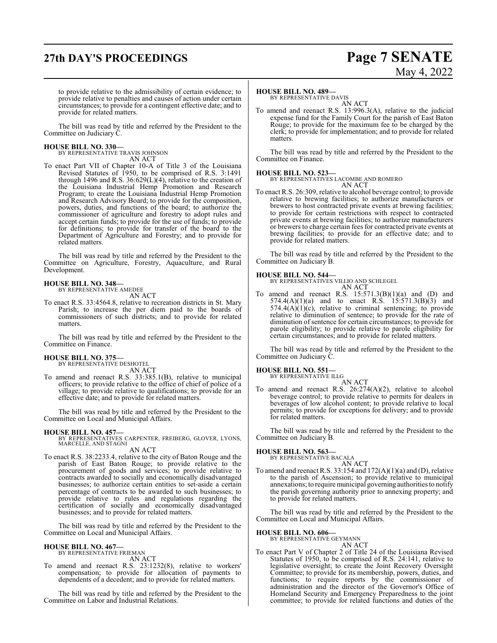## **27th DAY'S PROCEEDINGS Page 7 SENATE**

# May 4, 2022

to provide relative to the admissibility of certain evidence; to provide relative to penalties and causes of action under certain circumstances; to provide for a contingent effective date; and to provide for related matters.

The bill was read by title and referred by the President to the Committee on Judiciary C.

**HOUSE BILL NO. 330—** BY REPRESENTATIVE TRAVIS JOHNSON AN ACT

To enact Part VII of Chapter 10-A of Title 3 of the Louisiana Revised Statutes of 1950, to be comprised of R.S. 3:1491 through 1496 and R.S. 36:629(L)(4), relative to the creation of the Louisiana Industrial Hemp Promotion and Research Program; to create the Louisiana Industrial Hemp Promotion and Research Advisory Board; to provide for the composition, powers, duties, and functions of the board; to authorize the commissioner of agriculture and forestry to adopt rules and accept certain funds; to provide for the use of funds; to provide for definitions; to provide for transfer of the board to the Department of Agriculture and Forestry; and to provide for related matters.

The bill was read by title and referred by the President to the Committee on Agriculture, Forestry, Aquaculture, and Rural Development.

### **HOUSE BILL NO. 348—** BY REPRESENTATIVE AMEDEE

- AN ACT
- To enact R.S. 33:4564.8, relative to recreation districts in St. Mary Parish; to increase the per diem paid to the boards of commissioners of such districts; and to provide for related matters.

The bill was read by title and referred by the President to the Committee on Finance.

### **HOUSE BILL NO. 375—**

BY REPRESENTATIVE DESHOTEL AN ACT

To amend and reenact R.S. 33:385.1(B), relative to municipal officers; to provide relative to the office of chief of police of a village; to provide relative to qualifications; to provide for an effective date; and to provide for related matters.

The bill was read by title and referred by the President to the Committee on Local and Municipal Affairs.

**HOUSE BILL NO. 457—** BY REPRESENTATIVES CARPENTER, FREIBERG, GLOVER, LYONS, MARCELLE, AND STAGNI AN ACT

To enact R.S. 38:2233.4, relative to the city of Baton Rouge and the parish of East Baton Rouge; to provide relative to the procurement of goods and services; to provide relative to contracts awarded to socially and economically disadvantaged businesses; to authorize certain entities to set-aside a certain percentage of contracts to be awarded to such businesses; to provide relative to rules and regulations regarding the certification of socially and economically disadvantaged businesses; and to provide for related matters.

The bill was read by title and referred by the President to the Committee on Local and Municipal Affairs.

### **HOUSE BILL NO. 467—**

BY REPRESENTATIVE FRIEMAN AN ACT

To amend and reenact R.S. 23:1232(8), relative to workers' compensation; to provide for allocation of payments to dependents of a decedent; and to provide for related matters.

The bill was read by title and referred by the President to the Committee on Labor and Industrial Relations.

### **HOUSE BILL NO. 489—**

BY REPRESENTATIVE DAVIS AN ACT

To amend and reenact R.S. 13:996.3(A), relative to the judicial expense fund for the Family Court for the parish of East Baton Rouge; to provide for the maximum fee to be charged by the clerk; to provide for implementation; and to provide for related matters.

The bill was read by title and referred by the President to the Committee on Finance.

### **HOUSE BILL NO. 523—**

BY REPRESENTATIVES LACOMBE AND ROMERO AN ACT

To enact R.S. 26:309, relative to alcohol beverage control; to provide relative to brewing facilities; to authorize manufacturers or brewers to host contracted private events at brewing facilities; to provide for certain restrictions with respect to contracted private events at brewing facilities; to authorize manufacturers or brewers to charge certain fees for contracted private events at brewing facilities; to provide for an effective date; and to provide for related matters.

The bill was read by title and referred by the President to the Committee on Judiciary B.

**HOUSE BILL NO. 544—** BY REPRESENTATIVES VILLIO AND SCHLEGEL AN ACT

To amend and reenact R.S.  $15:571.3(B)(1)(a)$  and (D) and 574.4(A)(1)(a) and to enact R.S. 15:571.3(B)(3) and  $574.4(A)(1)(c)$ , relative to criminal sentencing; to provide relative to diminution of sentence; to provide for the rate of diminution of sentence for certain circumstances; to provide for parole eligibility; to provide relative to parole eligibility for certain circumstances; and to provide for related matters.

The bill was read by title and referred by the President to the Committee on Judiciary C.

### **HOUSE BILL NO. 551—**

BY REPRESENTATIVE ILLG AN ACT

To amend and reenact R.S. 26:274(A)(2), relative to alcohol beverage control; to provide relative to permits for dealers in beverages of low alcohol content; to provide relative to local permits; to provide for exceptions for delivery; and to provide for related matters.

The bill was read by title and referred by the President to the Committee on Judiciary B.

### **HOUSE BILL NO. 563—**

BY REPRESENTATIVE BACALA AN ACT

To amend and reenact R.S. 33:154 and  $172(A)(1)(a)$  and  $(D)$ , relative to the parish of Ascension; to provide relative to municipal annexations; to require municipal governing authorities to notify the parish governing authority prior to annexing property; and to provide for related matters.

The bill was read by title and referred by the President to the Committee on Local and Municipal Affairs.

### **HOUSE BILL NO. 606—**

BY REPRESENTATIVE GEYMANN AN ACT

To enact Part V of Chapter 2 of Title 24 of the Louisiana Revised Statutes of 1950, to be comprised of R.S. 24:141, relative to legislative oversight; to create the Joint Recovery Oversight Committee; to provide for its membership, powers, duties, and functions; to require reports by the commissioner of administration and the director of the Governor's Office of Homeland Security and Emergency Preparedness to the joint committee; to provide for related functions and duties of the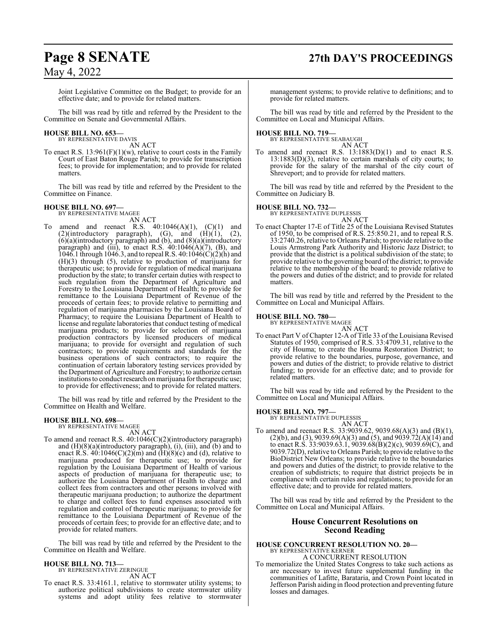Joint Legislative Committee on the Budget; to provide for an effective date; and to provide for related matters.

The bill was read by title and referred by the President to the Committee on Senate and Governmental Affairs.

## **HOUSE BILL NO. 653—** BY REPRESENTATIVE DAVIS

AN ACT

To enact R.S.  $13:961(F)(1)(w)$ , relative to court costs in the Family Court of East Baton Rouge Parish; to provide for transcription fees; to provide for implementation; and to provide for related matters.

The bill was read by title and referred by the President to the Committee on Finance.

### **HOUSE BILL NO. 697—**

BY REPRESENTATIVE MAGEE

AN ACT To amend and reenact R.S.  $40:1046(A)(1)$ ,  $(C)(1)$  and  $(2)($ introductory paragraph),  $(G)$ , and  $(H)(1)$ ,  $(2)$ , (6)(a)(introductory paragraph) and (b), and (8)(a)(introductory paragraph) and (iii), to enact R.S. 40:1046(A)(7), (B), and 1046.1 through 1046.3, and to repeal R.S. 40:1046(C)(2)(h) and (H)(3) through (5), relative to production of marijuana for therapeutic use; to provide for regulation of medical marijuana production by the state; to transfer certain duties with respect to such regulation from the Department of Agriculture and Forestry to the Louisiana Department of Health; to provide for remittance to the Louisiana Department of Revenue of the proceeds of certain fees; to provide relative to permitting and regulation of marijuana pharmacies by the Louisiana Board of Pharmacy; to require the Louisiana Department of Health to license and regulate laboratories that conduct testing of medical marijuana products; to provide for selection of marijuana production contractors by licensed producers of medical marijuana; to provide for oversight and regulation of such contractors; to provide requirements and standards for the business operations of such contractors; to require the continuation of certain laboratory testing services provided by the Department of Agriculture and Forestry; to authorize certain institutions to conduct research on marijuana for therapeutic use; to provide for effectiveness; and to provide for related matters.

The bill was read by title and referred by the President to the Committee on Health and Welfare.

#### **HOUSE BILL NO. 698—** BY REPRESENTATIVE MAGEE

AN ACT

To amend and reenact R.S. 40:1046(C)(2)(introductory paragraph) and (H)(8)(a)(introductory paragraph), (i), (iii), and (b) and to enact R.S.  $40:1046(C)(2)(m)$  and  $(H)(8)(c)$  and  $(d)$ , relative to marijuana produced for therapeutic use; to provide for regulation by the Louisiana Department of Health of various aspects of production of marijuana for therapeutic use; to authorize the Louisiana Department of Health to charge and collect fees from contractors and other persons involved with therapeutic marijuana production; to authorize the department to charge and collect fees to fund expenses associated with regulation and control of therapeutic marijuana; to provide for remittance to the Louisiana Department of Revenue of the proceeds of certain fees; to provide for an effective date; and to provide for related matters.

The bill was read by title and referred by the President to the Committee on Health and Welfare.

### **HOUSE BILL NO. 713—**

BY REPRESENTATIVE ZERINGUE AN ACT

To enact R.S. 33:4161.1, relative to stormwater utility systems; to authorize political subdivisions to create stormwater utility systems and adopt utility fees relative to stormwater

## **Page 8 SENATE 27th DAY'S PROCEEDINGS**

management systems; to provide relative to definitions; and to provide for related matters.

The bill was read by title and referred by the President to the Committee on Local and Municipal Affairs.

## **HOUSE BILL NO. 719—** BY REPRESENTATIVE SEABAUGH

AN ACT To amend and reenact R.S. 13:1883(D)(1) and to enact R.S. 13:1883(D)(3), relative to certain marshals of city courts; to provide for the salary of the marshal of the city court of Shreveport; and to provide for related matters.

The bill was read by title and referred by the President to the Committee on Judiciary B.

### **HOUSE BILL NO. 732—**

BY REPRESENTATIVE DUPLESSIS AN ACT

To enact Chapter 17-E of Title 25 of the Louisiana Revised Statutes of 1950, to be comprised of R.S. 25:850.21, and to repeal R.S. 33:2740.26, relative to Orleans Parish; to provide relative to the Louis Armstrong Park Authority and Historic Jazz District; to provide that the district is a political subdivision of the state; to provide relative to the governing board ofthe district; to provide relative to the membership of the board; to provide relative to the powers and duties of the district; and to provide for related matters.

The bill was read by title and referred by the President to the Committee on Local and Municipal Affairs.

### **HOUSE BILL NO. 780—**

BY REPRESENTATIVE MAGEE

AN ACT To enact Part V of Chapter 12-A of Title 33 of the Louisiana Revised Statutes of 1950, comprised of R.S. 33:4709.31, relative to the city of Houma; to create the Houma Restoration District; to provide relative to the boundaries, purpose, governance, and powers and duties of the district; to provide relative to district funding; to provide for an effective date; and to provide for related matters.

The bill was read by title and referred by the President to the Committee on Local and Municipal Affairs.

### **HOUSE BILL NO. 797—**

BY REPRESENTATIVE DUPLESSIS AN ACT

To amend and reenact R.S. 33:9039.62, 9039.68(A)(3) and (B)(1), (2)(b), and (3), 9039.69(A)(3) and (5), and 9039.72(A)(14) and to enact R.S. 33:9039.63.1, 9039.68(B)(2)(c), 9039.69(C), and 9039.72(D), relative to Orleans Parish; to provide relative to the BioDistrict New Orleans; to provide relative to the boundaries and powers and duties of the district; to provide relative to the creation of subdistricts; to require that district projects be in compliance with certain rules and regulations; to provide for an effective date; and to provide for related matters.

The bill was read by title and referred by the President to the Committee on Local and Municipal Affairs.

### **House Concurrent Resolutions on Second Reading**

#### **HOUSE CONCURRENT RESOLUTION NO. 20—** BY REPRESENTATIVE KERNER A CONCURRENT RESOLUTION

To memorialize the United States Congress to take such actions as are necessary to invest future supplemental funding in the communities of Lafitte, Barataria, and Crown Point located in Jefferson Parish aiding in flood protection and preventing future losses and damages.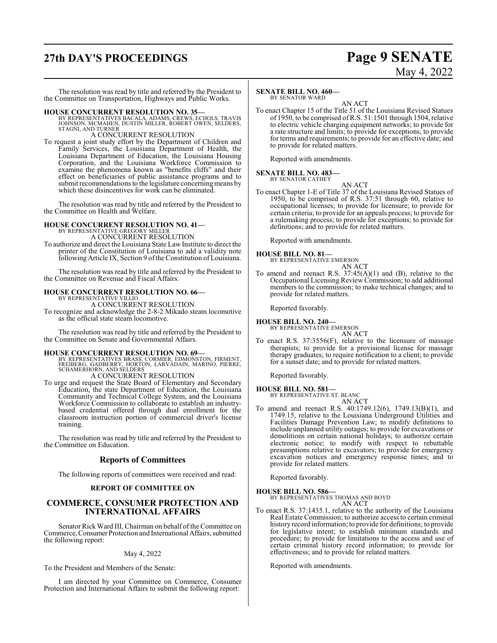## **27th DAY'S PROCEEDINGS Page 9 SENATE**

# May 4, 2022

The resolution was read by title and referred by the President to the Committee on Transportation, Highways and Public Works.

### **HOUSE CONCURRENT RESOLUTION NO. 35—**

BY REPRESENTATIVES BACALA, ADAMS, CREWS, ECHOLS, TRAVIS<br>JOHNSON, MCMAHEN, DUSTIN MILLER, ROBERT OWEN, SELDERS,<br>STAGNI, AND TURNER

A CONCURRENT RESOLUTION

To request a joint study effort by the Department of Children and Family Services, the Louisiana Department of Health, the Louisiana Department of Education, the Louisiana Housing Corporation, and the Louisiana Workforce Commission to examine the phenomena known as "benefits cliffs" and their effect on beneficiaries of public assistance programs and to submit recommendations to the legislature concerning means by which these disincentives for work can be eliminated.

The resolution was read by title and referred by the President to the Committee on Health and Welfare.

### **HOUSE CONCURRENT RESOLUTION NO. 41—** BY REPRESENTATIVE GREGORY MILLER A CONCURRENT RESOLUTION

To authorize and direct the Louisiana State Law Institute to direct the printer of the Constitution of Louisiana to add a validity note following Article IX, Section 9 ofthe Constitution of Louisiana.

The resolution was read by title and referred by the President to the Committee on Revenue and Fiscal Affairs.

## **HOUSE CONCURRENT RESOLUTION NO. 66—** BY REPRESENTATIVE VILLIO

A CONCURRENT RESOLUTION

To recognize and acknowledge the 2-8-2 Mikado steam locomotive as the official state steam locomotive.

The resolution was read by title and referred by the President to the Committee on Senate and Governmental Affairs.

HOUSE CONCURRENT RESOLUTION NO. 69—<br>
BY REPRESENTATIVES BRASS, CORMIER, EDMONSTON, FIRMENT, FREIBERG, GADBERRY, HORTON, LARVADAIN, MARINO, PIERRE,<br>
SCHAMERHORN, AND SELDERS<br>
A CONCURRENT RESOLUTION

To urge and request the State Board of Elementary and Secondary Education, the state Department of Education, the Louisiana Community and Technical College System, and the Louisiana Workforce Commission to collaborate to establish an industrybased credential offered through dual enrollment for the classroom instruction portion of commercial driver's license training.

The resolution was read by title and referred by the President to the Committee on Education.

### **Reports of Committees**

The following reports of committees were received and read:

### **REPORT OF COMMITTEE ON**

### **COMMERCE, CONSUMER PROTECTION AND INTERNATIONAL AFFAIRS**

Senator Rick Ward III, Chairman on behalf of the Committee on Commerce, Consumer Protection and International Affairs, submitted the following report:

### May 4, 2022

To the President and Members of the Senate:

I am directed by your Committee on Commerce, Consumer Protection and International Affairs to submit the following report:

### **SENATE BILL NO. 460—**

BY SENATOR WARD AN ACT

To enact Chapter 15 of the Title 51 of the Louisiana Revised Statues of 1950, to be comprised of R.S. 51:1501 through 1504, relative to electric vehicle charging equipment networks; to provide for a rate structure and limits; to provide for exceptions; to provide for terms and requirements; to provide for an effective date; and to provide for related matters.

Reported with amendments.

### **SENATE BILL NO. 483—**

BY SENATOR CATHEY

AN ACT

To enact Chapter 1-E of Title 37 of the Louisiana Revised Statues of 1950, to be comprised of R.S. 37:51 through 60, relative to occupational licenses; to provide for licensure; to provide for certain criteria; to provide for an appeals process; to provide for a rulemaking process; to provide for exceptions; to provide for definitions; and to provide for related matters.

Reported with amendments.

**HOUSE BILL NO. 81—**

BY REPRESENTATIVE EMERSON

- AN ACT
- To amend and reenact R.S.  $37:45(A)(1)$  and (B), relative to the Occupational Licensing Review Commission; to add additional members to the commission; to make technical changes; and to provide for related matters.

Reported favorably.

### **HOUSE BILL NO. 240—**

BY REPRESENTATIVE EMERSON AN ACT

To enact R.S. 37:3556(F), relative to the licensure of massage therapists; to provide for a provisional license for massage therapy graduates; to require notification to a client; to provide for a sunset date; and to provide for related matters.

Reported favorably.

**HOUSE BILL NO. 581—** BY REPRESENTATIVE ST. BLANC

AN ACT

To amend and reenact R.S. 40:1749.12(6), 1749.13(B)(1), and 1749.15, relative to the Louisiana Underground Utilities and Facilities Damage Prevention Law; to modify definitions to include unplanned utility outages; to provide for excavations or demolitions on certain national holidays; to authorize certain electronic notice; to modify with respect to rebuttable presumptions relative to excavators; to provide for emergency excavation notices and emergency response times; and to provide for related matters.

Reported favorably.

### **HOUSE BILL NO. 586—**

BY REPRESENTATIVES THOMAS AND BOYD AN ACT

To enact R.S. 37:1435.1, relative to the authority of the Louisiana Real Estate Commission; to authorize access to certain criminal history record information; to provide for definitions; to provide for legislative intent; to establish minimum standards and procedure; to provide for limitations to the access and use of certain criminal history record information; to provide for effectiveness; and to provide for related matters.

Reported with amendments.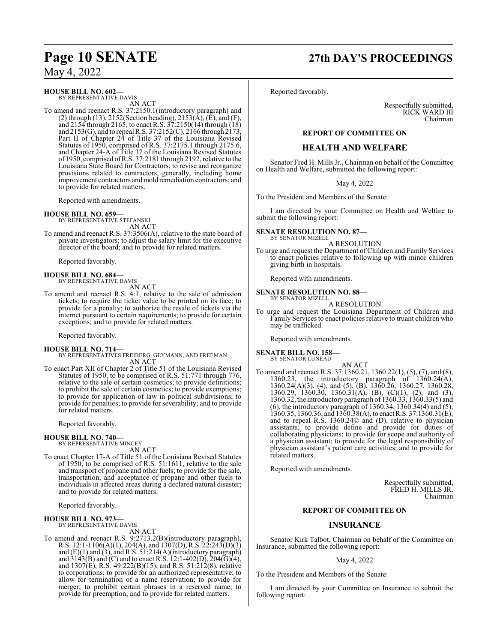### **HOUSE BILL NO. 602—**

BY REPRESENTATIVE DAVIS AN ACT

To amend and reenact R.S. 37:2150.1(introductory paragraph) and (2) through (13), 2152(Section heading), 2153( $\hat{A}$ ), ( $\tilde{E}$ ), and (F), and 2154 through 2165, to enact R.S. 37:2150(14) through (18) and 2153(G), and to repeal R.S. 37:2152(C), 2166 through 2173, Part II of Chapter 24 of Title 37 of the Louisiana Revised Statutes of 1950, comprised of R.S. 37:2175.1 through 2175.6, and Chapter 24-A of Title 37 of the Louisiana Revised Statutes of 1950, comprised ofR.S. 37:2181 through 2192, relative to the Louisiana State Board for Contractors; to revise and reorganize provisions related to contractors, generally, including home improvement contractors andmold remediation contractors; and to provide for related matters.

Reported with amendments.

### **HOUSE BILL NO. 659—**

BY REPRESENTATIVE STEFANSKI AN ACT

To amend and reenact R.S. 37:3506(A), relative to the state board of private investigators; to adjust the salary limit for the executive director of the board; and to provide for related matters.

Reported favorably.

## **HOUSE BILL NO. 684—** BY REPRESENTATIVE DAVIS

AN ACT

To amend and reenact R.S. 4:1, relative to the sale of admission tickets; to require the ticket value to be printed on its face; to provide for a penalty; to authorize the resale of tickets via the internet pursuant to certain requirements; to provide for certain exceptions; and to provide for related matters.

Reported favorably.

### **HOUSE BILL NO. 714—**

BY REPRESENTATIVES FREIBERG, GEYMANN, AND FREEMAN AN ACT

To enact Part XII of Chapter 2 of Title 51 of the Louisiana Revised Statutes of 1950, to be comprised of R.S. 51:771 through 776, relative to the sale of certain cosmetics; to provide definitions; to prohibit the sale of certain cosmetics; to provide exemptions; to provide for application of law in political subdivisions; to provide for penalties; to provide for severability; and to provide for related matters.

Reported favorably.

### **HOUSE BILL NO. 740—**

BY REPRESENTATIVE MINCEY AN ACT

To enact Chapter 17-A of Title 51 of the Louisiana Revised Statutes of 1950, to be comprised of R.S. 51:1611, relative to the sale and transport of propane and other fuels; to provide for the sale, transportation, and acceptance of propane and other fuels to individuals in affected areas during a declared natural disaster; and to provide for related matters.

Reported favorably.

### **HOUSE BILL NO. 973—**

BY REPRESENTATIVE DAVIS AN ACT

To amend and reenact R.S. 9:2713.2(B)(introductory paragraph), R.S. 12:1-1106(A)(1), 204(A), and 1307(D), R.S. 22:243(D)(3) and  $(E)(1)$  and  $(3)$ , and R.S. 51:214(A)(introductory paragraph) and  $3143(B)$  and (C) and to enact R.S. 12:1-402(D), 204(G)(4), and 1307(E), R.S. 49:222(B)(15), and R.S. 51:212(8), relative to corporations; to provide for an authorized representative; to allow for termination of a name reservation; to provide for merger; to prohibit certain phrases in a reserved name; to provide for preemption; and to provide for related matters.

## **Page 10 SENATE 27th DAY'S PROCEEDINGS**

Reported favorably.

Respectfully submitted, RICK WARD III Chairman

### **REPORT OF COMMITTEE ON**

### **HEALTH AND WELFARE**

Senator Fred H. Mills Jr., Chairman on behalf of the Committee on Health and Welfare, submitted the following report:

May 4, 2022

To the President and Members of the Senate:

I am directed by your Committee on Health and Welfare to submit the following report:

**SENATE RESOLUTION NO. 87—** BY SENATOR MIZELL

A RESOLUTION

To urge and request the Department of Children and Family Services to enact policies relative to following up with minor children giving birth in hospitals.

Reported with amendments.

## **SENATE RESOLUTION NO. 88—** BY SENATOR MIZELL

A RESOLUTION

To urge and request the Louisiana Department of Children and Family Services to enact policies relative to truant children who may be trafficked.

Reported with amendments.

### **SENATE BILL NO. 158—**

BY SENATOR LUNEAU

AN ACT To amend and reenact R.S. 37:1360.21, 1360.22(1), (5), (7), and (8), 1360.23, the introductory paragraph of 1360.24(A), 1360.24(A)(3), (4), and (5), (B), 1360.26, 1360.27, 1360.28, 1360.29, 1360.30, 1360.31(A), (B), (C)(1), (2), and (3), 1360.32, the introductoryparagraph of 1360.33, 1360.33(5) and (6), the introductory paragraph of 1360.34, 1360.34(4) and (5), 1360.35, 1360.36, and 1360.38(A), to enact R.S. 37:1360.31(E), and to repeal R.S. 1360.24© and (D), relative to physician assistants; to provide define and provide for duties of collaborating physicians; to provide for scope and authority of a physician assistant; to provide for the legal responsibility of physician assistant's patient care activities; and to provide for related matters.

Reported with amendments.

Respectfully submitted, FRED H. MILLS JR. Chairman

### **REPORT OF COMMITTEE ON**

### **INSURANCE**

Senator Kirk Talbot, Chairman on behalf of the Committee on Insurance, submitted the following report:

### May 4, 2022

To the President and Members of the Senate:

I am directed by your Committee on Insurance to submit the following report: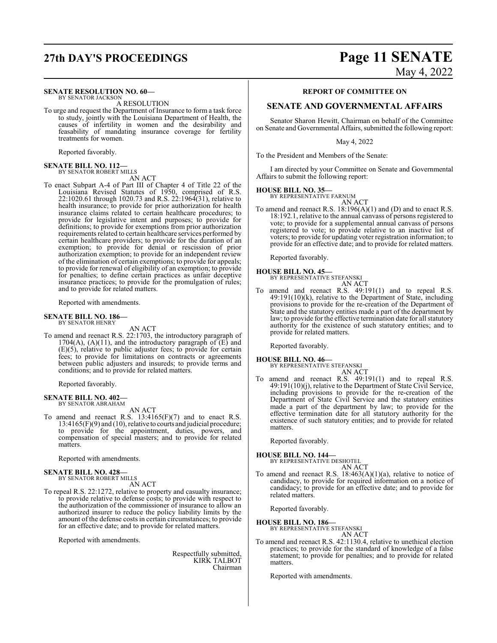#### **SENATE RESOLUTION NO. 60—** BY SENATOR JACKSON

A RESOLUTION

To urge and request the Department of Insurance to form a task force to study, jointly with the Louisiana Department of Health, the causes of infertility in women and the desirability and feasability of mandating insurance coverage for fertility treatments for women.

Reported favorably.

### **SENATE BILL NO. 112—** BY SENATOR ROBERT MILLS

AN ACT

To enact Subpart A-4 of Part III of Chapter 4 of Title 22 of the Louisiana Revised Statutes of 1950, comprised of R.S. 22:1020.61 through 1020.73 and R.S. 22:1964(31), relative to health insurance; to provide for prior authorization for health insurance claims related to certain healthcare procedures; to provide for legislative intent and purposes; to provide for definitions; to provide for exemptions from prior authorization requirements related to certain healthcare services performed by certain healthcare providers; to provide for the duration of an exemption; to provide for denial or rescission of prior authorization exemption; to provide for an independent review of the elimination of certain exemptions; to provide for appeals; to provide for renewal of eligibility of an exemption; to provide for penalties; to define certain practices as unfair deceptive insurance practices; to provide for the promulgation of rules; and to provide for related matters.

Reported with amendments.

#### **SENATE BILL NO. 186—** BY SENATOR HENRY

AN ACT

To amend and reenact R.S. 22:1703, the introductory paragraph of  $1704(A)$ ,  $(A)(11)$ , and the introductory paragraph of  $(E)$  and (E)(5), relative to public adjuster fees; to provide for certain fees; to provide for limitations on contracts or agreements between public adjusters and insureds; to provide terms and conditions; and to provide for related matters.

Reported favorably.

### **SENATE BILL NO. 402—**

BY SENATOR ABRAHAM AN ACT

To amend and reenact R.S. 13:4165(F)(7) and to enact R.S. 13:4165(F)(9) and (10), relative to courts and judicial procedure; to provide for the appointment, duties, powers, and compensation of special masters; and to provide for related matters.

Reported with amendments.

### **SENATE BILL NO. 428—** BY SENATOR ROBERT MILLS

AN ACT

To repeal R.S. 22:1272, relative to property and casualty insurance; to provide relative to defense costs; to provide with respect to the authorization of the commissioner of insurance to allow an authorized insurer to reduce the policy liability limits by the amount of the defense costs in certain circumstances; to provide for an effective date; and to provide for related matters.

Reported with amendments.

Respectfully submitted, KIRK TALBOT Chairman

## **27th DAY'S PROCEEDINGS Page 11 SENATE** May 4, 2022

### **REPORT OF COMMITTEE ON**

### **SENATE AND GOVERNMENTAL AFFAIRS**

Senator Sharon Hewitt, Chairman on behalf of the Committee on Senate and Governmental Affairs, submitted the following report:

May 4, 2022

To the President and Members of the Senate:

I am directed by your Committee on Senate and Governmental Affairs to submit the following report:

### **HOUSE BILL NO. 35—**

BY REPRESENTATIVE FARNUM AN ACT

To amend and reenact R.S. 18:196(A)(1) and (D) and to enact R.S. 18:192.1, relative to the annual canvass of persons registered to vote; to provide for a supplemental annual canvass of persons registered to vote; to provide relative to an inactive list of voters; to provide for updating voter registration information; to provide for an effective date; and to provide for related matters.

Reported favorably.

**HOUSE BILL NO. 45—**

BY REPRESENTATIVE STEFANSKI AN ACT

To amend and reenact R.S. 49:191(1) and to repeal R.S. 49:191(10)(k), relative to the Department of State, including provisions to provide for the re-creation of the Department of State and the statutory entities made a part of the department by law; to provide for the effective termination date for all statutory authority for the existence of such statutory entities; and to provide for related matters.

Reported favorably.

- **HOUSE BILL NO. 46—** BY REPRESENTATIVE STEFANSKI
	- AN ACT
- To amend and reenact R.S. 49:191(1) and to repeal R.S. 49:191(10)(j), relative to the Department of State Civil Service, including provisions to provide for the re-creation of the Department of State Civil Service and the statutory entities made a part of the department by law; to provide for the effective termination date for all statutory authority for the existence of such statutory entities; and to provide for related matters.

Reported favorably.

### **HOUSE BILL NO. 144—** BY REPRESENTATIVE DESHOTEL

AN ACT

To amend and reenact R.S. 18:463(A)(1)(a), relative to notice of candidacy, to provide for required information on a notice of candidacy; to provide for an effective date; and to provide for related matters.

Reported favorably.

**HOUSE BILL NO. 186—** BY REPRESENTATIVE STEFANSKI

AN ACT

To amend and reenact R.S. 42:1130.4, relative to unethical election practices; to provide for the standard of knowledge of a false statement; to provide for penalties; and to provide for related matters.

Reported with amendments.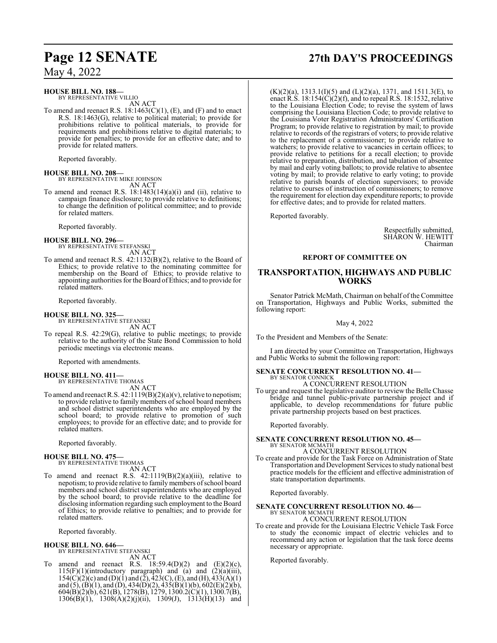### **HOUSE BILL NO. 188—**

BY REPRESENTATIVE VILLIO AN ACT

To amend and reenact R.S. 18:1463(C)(1), (E), and (F) and to enact R.S. 18:1463(G), relative to political material; to provide for prohibitions relative to political materials, to provide for requirements and prohibitions relative to digital materials; to provide for penalties; to provide for an effective date; and to provide for related matters.

Reported favorably.

**HOUSE BILL NO. 208—** BY REPRESENTATIVE MIKE JOHNSON

AN ACT

To amend and reenact R.S.  $18:1483(14)(a)(i)$  and (ii), relative to campaign finance disclosure; to provide relative to definitions; to change the definition of political committee; and to provide for related matters.

Reported favorably.

### **HOUSE BILL NO. 296—** BY REPRESENTATIVE STEFANSKI

AN ACT

To amend and reenact R.S. 42:1132(B)(2), relative to the Board of Ethics; to provide relative to the nominating committee for membership on the Board of Ethics; to provide relative to appointing authorities for the Board of Ethics; and to provide for related matters.

Reported favorably.

### **HOUSE BILL NO. 325—**

BY REPRESENTATIVE STEFANSKI AN ACT

To repeal R.S. 42:29(G), relative to public meetings; to provide relative to the authority of the State Bond Commission to hold periodic meetings via electronic means.

Reported with amendments.

### **HOUSE BILL NO. 411—** BY REPRESENTATIVE THOMAS

AN ACT

To amend and reenact R.S. 42:1119(B)(2)(a)(v), relative to nepotism; to provide relative to family members of school board members and school district superintendents who are employed by the school board; to provide relative to promotion of such employees; to provide for an effective date; and to provide for related matters.

Reported favorably.

### **HOUSE BILL NO. 475—**

BY REPRESENTATIVE THOMAS AN ACT

To amend and reenact R.S. 42:1119(B)(2)(a)(iii), relative to nepotism; to provide relative to familymembers ofschool board members and school district superintendents who are employed by the school board; to provide relative to the deadline for disclosing information regarding such employment to the Board of Ethics; to provide relative to penalties; and to provide for related matters.

Reported favorably.

## **HOUSE BILL NO. 646—** BY REPRESENTATIVE STEFANSKI

AN ACT

To amend and reenact R.S.  $18:59.4(D)(2)$  and  $(E)(2)(c)$ ,  $115(F)(1)$ (introductory paragraph) and (a) and  $(2)(a)(iii)$ ,  $154(C)(2)(c)$  and  $(D)(1)$  and  $(2), 423(C), (E),$  and  $(H), 433(A)(1)$ and (5), (B)(1), and (D), 434(D)(2), 435(B)(1)(b), 602(E)(2)(b), 604(B)(2)(b), 621(B), 1278(B), 1279, 1300.2(C)(1), 1300.7(B),  $1306(B)(1)$ ,  $1308(A)(2)(j)(ii)$ ,  $1309(J)$ ,  $1313(H)(13)$  and

## **Page 12 SENATE 27th DAY'S PROCEEDINGS**

 $(K)(2)(a)$ , 1313.1(I)(5) and (L)(2)(a), 1371, and 1511.3(E), to enact R.S.  $18:154(C)(2)(f)$ , and to repeal R.S. 18:1532, relative to the Louisiana Election Code; to revise the system of laws comprising the Louisiana Election Code; to provide relative to the Louisiana Voter Registration Administrators' Certification Program; to provide relative to registration by mail; to provide relative to records of the registrars of voters; to provide relative to the replacement of a commissioner; to provide relative to watchers; to provide relative to vacancies in certain offices; to provide relative to petitions for a recall election; to provide relative to preparation, distribution, and tabulation of absentee by mail and early voting ballots; to provide relative to absentee voting by mail; to provide relative to early voting; to provide relative to parish boards of election supervisors; to provide relative to courses of instruction of commissioners; to remove the requirement for election day expenditure reports; to provide for effective dates; and to provide for related matters.

Reported favorably.

Respectfully submitted, SHARON W. HEWITT Chairman

### **REPORT OF COMMITTEE ON**

### **TRANSPORTATION, HIGHWAYS AND PUBLIC WORKS**

Senator Patrick McMath, Chairman on behalf of the Committee on Transportation, Highways and Public Works, submitted the following report:

May 4, 2022

To the President and Members of the Senate:

I am directed by your Committee on Transportation, Highways and Public Works to submit the following report:

### **SENATE CONCURRENT RESOLUTION NO. 41—** BY SENATOR CONNICK

A CONCURRENT RESOLUTION

To urge and request the legislative auditor to review the Belle Chasse bridge and tunnel public-private partnership project and if applicable, to develop recommendations for future public private partnership projects based on best practices.

Reported favorably.

### **SENATE CONCURRENT RESOLUTION NO. 45—** BY SENATOR MCMATH

A CONCURRENT RESOLUTION

To create and provide for the Task Force on Administration of State Transportation and Development Services to study national best practice models for the efficient and effective administration of state transportation departments.

Reported favorably.

## **SENATE CONCURRENT RESOLUTION NO. 46—** BY SENATOR MCMATH

A CONCURRENT RESOLUTION

To create and provide for the Louisiana Electric Vehicle Task Force to study the economic impact of electric vehicles and to recommend any action or legislation that the task force deems necessary or appropriate.

Reported favorably.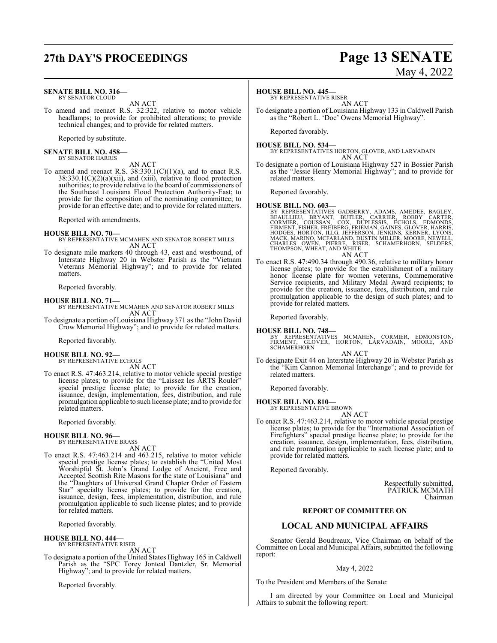## **27th DAY'S PROCEEDINGS Page 13 SENATE**

#### **SENATE BILL NO. 316—** BY SENATOR CLOUD

AN ACT

To amend and reenact R.S. 32:322, relative to motor vehicle headlamps; to provide for prohibited alterations; to provide technical changes; and to provide for related matters.

Reported by substitute.

**SENATE BILL NO. 458—** BY SENATOR HARRIS

AN ACT

To amend and reenact R.S.  $38:330.1(C)(1)(a)$ , and to enact R.S. 38:330.1(C)(2)(a)(xii), and (xiii), relative to flood protection authorities; to provide relative to the board of commissioners of the Southeast Louisiana Flood Protection Authority-East; to provide for the composition of the nominating committee; to provide for an effective date; and to provide for related matters.

Reported with amendments.

### **HOUSE BILL NO. 70—**

- BY REPRESENTATIVE MCMAHEN AND SENATOR ROBERT MILLS AN ACT
- To designate mile markers 40 through 43, east and westbound, of Interstate Highway 20 in Webster Parish as the "Vietnam Veterans Memorial Highway"; and to provide for related matters.

Reported favorably.

### **HOUSE BILL NO. 71—**

- BY REPRESENTATIVE MCMAHEN AND SENATOR ROBERT MILLS AN ACT
- To designate a portion of Louisiana Highway 371 as the "John David Crow Memorial Highway"; and to provide for related matters.

Reported favorably.

#### **HOUSE BILL NO. 92—** BY REPRESENTATIVE ECHOLS

AN ACT

To enact R.S. 47:463.214, relative to motor vehicle special prestige license plates; to provide for the "Laissez les ARTS Rouler" special prestige license plate; to provide for the creation, issuance, design, implementation, fees, distribution, and rule promulgation applicable to such license plate; and to provide for related matters.

Reported favorably.

### **HOUSE BILL NO. 96—** BY REPRESENTATIVE BRASS

AN ACT

To enact R.S. 47:463.214 and 463.215, relative to motor vehicle special prestige license plates; to establish the "United Most Worshipful St. John's Grand Lodge of Ancient, Free and Accepted Scottish Rite Masons for the state of Louisiana" and the "Daughters of Universal Grand Chapter Order of Eastern Star" specialty license plates; to provide for the creation, issuance, design, fees, implementation, distribution, and rule promulgation applicable to such license plates; and to provide for related matters.

Reported favorably.

### **HOUSE BILL NO. 444—**

BY REPRESENTATIVE RISER AN ACT

To designate a portion of the United States Highway 165 in Caldwell Parish as the "SPC Torey Jonteal Dantzler, Sr. Memorial Highway"; and to provide for related matters.

Reported favorably.

### **HOUSE BILL NO. 445—**

BY REPRESENTATIVE RISER AN ACT

To designate a portion of Louisiana Highway 133 in Caldwell Parish as the "Robert L. 'Doc' Owens Memorial Highway".

Reported favorably.

**HOUSE BILL NO. 534—** BY REPRESENTATIVES HORTON, GLOVER, AND LARVADAIN AN ACT

To designate a portion of Louisiana Highway 527 in Bossier Parish as the "Jessie Henry Memorial Highway"; and to provide for related matters.

Reported favorably.

- **HOUSE BILL NO. 603—** BY REPRESENTATIVES GADBERRY, ADAMS, AMEDEE, BAGLEY,<br>BEAULLIEU, BRYANT, BUTLER, CARRIER, ROBBY CARTER,<br>CORMIER, COUSSAN, COX, DUPLESSIS, ECHOLS, EDMONDS,<br>FIRMENT, FISHER, FREIBERG, FRIEMAN, GAINES, GLOVER, HARRIS,<br>HODGES, H
- AN ACT To enact R.S. 47:490.34 through 490.36, relative to military honor license plates; to provide for the establishment of a military honor license plate for women veterans, Commemorative Service recipients, and Military Medal Award recipients; to provide for the creation, issuance, fees, distribution, and rule promulgation applicable to the design of such plates; and to provide for related matters.

Reported favorably.

### **HOUSE BILL NO. 748—**

BY REPRESENTATIVES MCMAHEN, CORMIER, EDMONSTON, FIRMENT, GLOVER, HORTON, LARVADAIN, MOORE, AND SCHAMERHORN AN ACT

To designate Exit 44 on Interstate Highway 20 in Webster Parish as the "Kim Cannon Memorial Interchange"; and to provide for related matters.

Reported favorably.

**HOUSE BILL NO. 810—** BY REPRESENTATIVE BROWN

AN ACT

To enact R.S. 47:463.214, relative to motor vehicle special prestige license plates; to provide for the "International Association of Firefighters" special prestige license plate; to provide for the creation, issuance, design, implementation, fees, distribution, and rule promulgation applicable to such license plate; and to provide for related matters.

Reported favorably.

Respectfully submitted, PATRICK MCMATH Chairman

### **REPORT OF COMMITTEE ON**

### **LOCAL AND MUNICIPAL AFFAIRS**

Senator Gerald Boudreaux, Vice Chairman on behalf of the Committee on Local and Municipal Affairs, submitted the following report:

### May 4, 2022

To the President and Members of the Senate:

I am directed by your Committee on Local and Municipal Affairs to submit the following report:

# May 4, 2022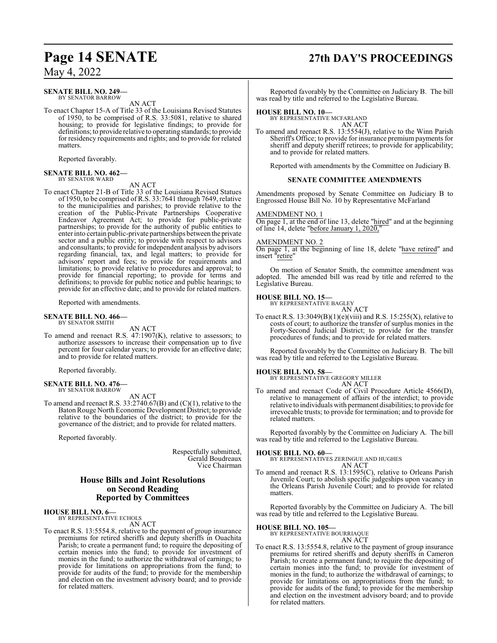### **SENATE BILL NO. 249—**

BY SENATOR BARROW AN ACT

To enact Chapter 15-A of Title 33 of the Louisiana Revised Statutes of 1950, to be comprised of R.S. 33:5081, relative to shared housing; to provide for legislative findings; to provide for definitions; to provide relative to operating standards; to provide for residency requirements and rights; and to provide for related matters.

Reported favorably.

### **SENATE BILL NO. 462—** BY SENATOR WARD

AN ACT

To enact Chapter 21-B of Title 33 of the Louisiana Revised Statues of 1950, to be comprised of R.S. 33:7641 through 7649, relative to the municipalities and parishes; to provide relative to the creation of the Public-Private Partnerships Cooperative Endeavor Agreement Act; to provide for public-private partnerships; to provide for the authority of public entities to enter into certain public-private partnerships between the private sector and a public entity; to provide with respect to advisors and consultants; to provide for independent analysis by advisors regarding financial, tax, and legal matters; to provide for advisors' report and fees; to provide for requirements and limitations; to provide relative to procedures and approval; to provide for financial reporting; to provide for terms and definitions; to provide for public notice and public hearings; to provide for an effective date; and to provide for related matters.

Reported with amendments.

### **SENATE BILL NO. 466—**

BY SENATOR SMITH

AN ACT

To amend and reenact R.S. 47:1907(K), relative to assessors; to authorize assessors to increase their compensation up to five percent for four calendar years; to provide for an effective date; and to provide for related matters.

Reported favorably.

#### **SENATE BILL NO. 476—** BY SENATOR BARROW

AN ACT

To amend and reenact R.S. 33:2740.67(B) and (C)(1), relative to the Baton Rouge North Economic Development District; to provide relative to the boundaries of the district; to provide for the governance of the district; and to provide for related matters.

Reported favorably.

Respectfully submitted, Gerald Boudreaux Vice Chairman

### **House Bills and Joint Resolutions on Second Reading Reported by Committees**

#### **HOUSE BILL NO. 6—** BY REPRESENTATIVE ECHOLS

AN ACT

To enact R.S. 13:5554.8, relative to the payment of group insurance premiums for retired sheriffs and deputy sheriffs in Ouachita Parish; to create a permanent fund; to require the depositing of certain monies into the fund; to provide for investment of monies in the fund; to authorize the withdrawal of earnings; to provide for limitations on appropriations from the fund; to provide for audits of the fund; to provide for the membership and election on the investment advisory board; and to provide for related matters.

## **Page 14 SENATE 27th DAY'S PROCEEDINGS**

Reported favorably by the Committee on Judiciary B. The bill was read by title and referred to the Legislative Bureau.

### **HOUSE BILL NO. 10—**

BY REPRESENTATIVE MCFARLAND AN ACT

To amend and reenact R.S. 13:5554(J), relative to the Winn Parish Sheriff's Office; to provide for insurance premium payments for sheriff and deputy sheriff retirees; to provide for applicability; and to provide for related matters.

Reported with amendments by the Committee on Judiciary B.

### **SENATE COMMITTEE AMENDMENTS**

Amendments proposed by Senate Committee on Judiciary B to Engrossed House Bill No. 10 by Representative McFarland

### AMENDMENT NO. 1

On page 1, at the end of line 13, delete "hired" and at the beginning of line 14, delete "before January 1,  $202\overline{0}$ ,"

### AMENDMENT NO. 2

On page 1, at the beginning of line 18, delete "have retired" and insert "retire"

On motion of Senator Smith, the committee amendment was adopted. The amended bill was read by title and referred to the Legislative Bureau.

### **HOUSE BILL NO. 15—**

BY REPRESENTATIVE BAGLEY AN ACT

To enact R.S.  $13:3049(B)(1)(e)(viii)$  and R.S.  $15:255(X)$ , relative to costs of court; to authorize the transfer of surplus monies in the Forty-Second Judicial District; to provide for the transfer procedures of funds; and to provide for related matters.

Reported favorably by the Committee on Judiciary B. The bill was read by title and referred to the Legislative Bureau.

## **HOUSE BILL NO. 58—** BY REPRESENTATIVE GREGORY MILLER

AN ACT

To amend and reenact Code of Civil Procedure Article 4566(D), relative to management of affairs of the interdict; to provide relative to individuals with permanent disabilities; to provide for irrevocable trusts; to provide for termination; and to provide for related matters.

Reported favorably by the Committee on Judiciary A. The bill was read by title and referred to the Legislative Bureau.

**HOUSE BILL NO. 60—** BY REPRESENTATIVES ZERINGUE AND HUGHES AN ACT

To amend and reenact R.S. 13:1595(C), relative to Orleans Parish Juvenile Court; to abolish specific judgeships upon vacancy in the Orleans Parish Juvenile Court; and to provide for related matters.

Reported favorably by the Committee on Judiciary A. The bill was read by title and referred to the Legislative Bureau.

**HOUSE BILL NO. 105—** BY REPRESENTATIVE BOURRIAQUE AN ACT

To enact R.S. 13:5554.8, relative to the payment of group insurance premiums for retired sheriffs and deputy sheriffs in Cameron Parish; to create a permanent fund; to require the depositing of certain monies into the fund; to provide for investment of monies in the fund; to authorize the withdrawal of earnings; to provide for limitations on appropriations from the fund; to provide for audits of the fund; to provide for the membership and election on the investment advisory board; and to provide for related matters.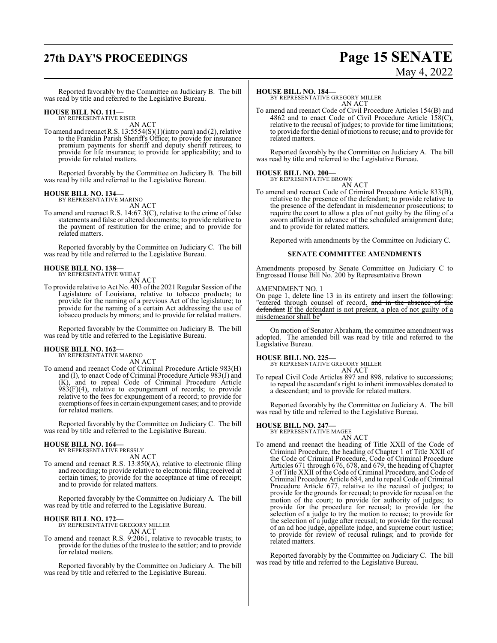## **27th DAY'S PROCEEDINGS Page 15 SENATE**

May 4, 2022

Reported favorably by the Committee on Judiciary B. The bill was read by title and referred to the Legislative Bureau.

### **HOUSE BILL NO. 111—**

BY REPRESENTATIVE RISER AN ACT

To amend and reenact R.S. 13:5554(S)(1)(intro para) and (2), relative to the Franklin Parish Sheriff's Office; to provide for insurance premium payments for sheriff and deputy sheriff retirees; to provide for life insurance; to provide for applicability; and to provide for related matters.

Reported favorably by the Committee on Judiciary B. The bill was read by title and referred to the Legislative Bureau.

## **HOUSE BILL NO. 134—** BY REPRESENTATIVE MARINO

AN ACT

To amend and reenact R.S. 14:67.3(C), relative to the crime of false statements and false or altered documents; to provide relative to the payment of restitution for the crime; and to provide for related matters.

Reported favorably by the Committee on Judiciary C. The bill was read by title and referred to the Legislative Bureau.

#### **HOUSE BILL NO. 138—** BY REPRESENTATIVE WHEAT

AN ACT

To provide relative to Act No. 403 ofthe 2021 Regular Session of the Legislature of Louisiana, relative to tobacco products; to provide for the naming of a previous Act of the legislature; to provide for the naming of a certain Act addressing the use of tobacco products by minors; and to provide for related matters.

Reported favorably by the Committee on Judiciary B. The bill was read by title and referred to the Legislative Bureau.

### **HOUSE BILL NO. 162—**

BY REPRESENTATIVE MARINO AN ACT

To amend and reenact Code of Criminal Procedure Article 983(H) and (I), to enact Code of Criminal Procedure Article 983(J) and (K), and to repeal Code of Criminal Procedure Article 983(F)(4), relative to expungement of records; to provide relative to the fees for expungement of a record; to provide for exemptions of fees in certain expungement cases; and to provide for related matters.

Reported favorably by the Committee on Judiciary C. The bill was read by title and referred to the Legislative Bureau.

## **HOUSE BILL NO. 164—** BY REPRESENTATIVE PRESSLY

AN ACT

To amend and reenact R.S. 13:850(A), relative to electronic filing and recording; to provide relative to electronic filing received at certain times; to provide for the acceptance at time of receipt; and to provide for related matters.

Reported favorably by the Committee on Judiciary A. The bill was read by title and referred to the Legislative Bureau.

### **HOUSE BILL NO. 172—**

BY REPRESENTATIVE GREGORY MILLER AN ACT

To amend and reenact R.S. 9:2061, relative to revocable trusts; to provide for the duties of the trustee to the settlor; and to provide for related matters.

Reported favorably by the Committee on Judiciary A. The bill was read by title and referred to the Legislative Bureau.

### **HOUSE BILL NO. 184—**

BY REPRESENTATIVE GREGORY MILLER AN ACT

To amend and reenact Code of Civil Procedure Articles 154(B) and 4862 and to enact Code of Civil Procedure Article  $158(C)$ , relative to the recusal of judges; to provide for time limitations; to provide for the denial of motions to recuse; and to provide for related matters.

Reported favorably by the Committee on Judiciary A. The bill was read by title and referred to the Legislative Bureau.

### **HOUSE BILL NO. 200—**

BY REPRESENTATIVE BROWN

AN ACT To amend and reenact Code of Criminal Procedure Article 833(B), relative to the presence of the defendant; to provide relative to the presence of the defendant in misdemeanor prosecutions; to require the court to allow a plea of not guilty by the filing of a sworn affidavit in advance of the scheduled arraignment date; and to provide for related matters.

Reported with amendments by the Committee on Judiciary C.

### **SENATE COMMITTEE AMENDMENTS**

Amendments proposed by Senate Committee on Judiciary C to Engrossed House Bill No. 200 by Representative Brown

### AMENDMENT NO. 1

On page 1, delete line 13 in its entirety and insert the following: "entered through counsel of record. and in the absence of the defendant If the defendant is not present, a plea of not guilty of a misdemeanor shall be"

On motion of Senator Abraham, the committee amendment was adopted. The amended bill was read by title and referred to the Legislative Bureau.

### **HOUSE BILL NO. 225—**

BY REPRESENTATIVE GREGORY MILLER AN ACT

To repeal Civil Code Articles 897 and 898, relative to successions; to repeal the ascendant's right to inherit immovables donated to a descendant; and to provide for related matters.

Reported favorably by the Committee on Judiciary A. The bill was read by title and referred to the Legislative Bureau.

### **HOUSE BILL NO. 247—** BY REPRESENTATIVE MAGEE

AN ACT

To amend and reenact the heading of Title XXII of the Code of Criminal Procedure, the heading of Chapter 1 of Title XXII of the Code of Criminal Procedure, Code of Criminal Procedure Articles 671 through 676, 678, and 679, the heading of Chapter 3 of Title XXII of the Code of Criminal Procedure, and Code of Criminal Procedure Article 684, and to repeal Code of Criminal Procedure Article 677, relative to the recusal of judges; to provide for the grounds for recusal; to provide for recusal on the motion of the court; to provide for authority of judges; to provide for the procedure for recusal; to provide for the selection of a judge to try the motion to recuse; to provide for the selection of a judge after recusal; to provide for the recusal of an ad hoc judge, appellate judge, and supreme court justice; to provide for review of recusal rulings; and to provide for related matters.

Reported favorably by the Committee on Judiciary C. The bill was read by title and referred to the Legislative Bureau.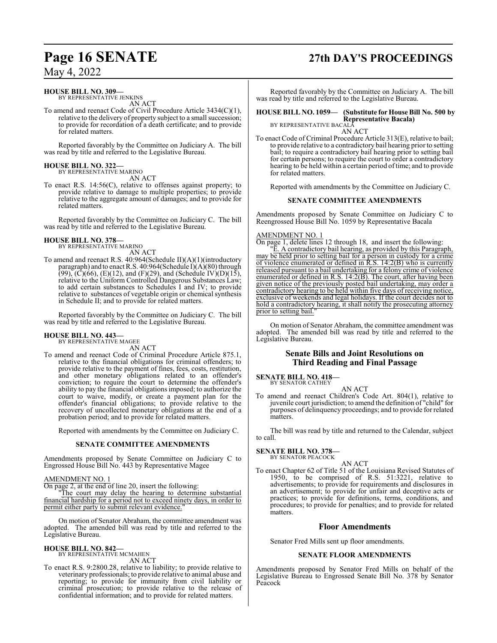### **HOUSE BILL NO. 309—**

BY REPRESENTATIVE JENKINS AN ACT

To amend and reenact Code of Civil Procedure Article 3434(C)(1), relative to the delivery of property subject to a small succession; to provide for recordation of a death certificate; and to provide for related matters.

Reported favorably by the Committee on Judiciary A. The bill was read by title and referred to the Legislative Bureau.

## **HOUSE BILL NO. 322—** BY REPRESENTATIVE MARINO

AN ACT

To enact R.S. 14:56(C), relative to offenses against property; to provide relative to damage to multiple properties; to provide relative to the aggregate amount of damages; and to provide for related matters.

Reported favorably by the Committee on Judiciary C. The bill was read by title and referred to the Legislative Bureau.

#### **HOUSE BILL NO. 378—** BY REPRESENTATIVE MARINO

AN ACT

To amend and reenact R.S. 40:964(Schedule II)(A)(1)(introductory paragraph) and to enact R.S. 40:964(Schedule I)(A)(80) through  $(99)$ ,  $(C)(66)$ ,  $(E)(12)$ , and  $(F)(29)$ , and  $(Schedule IV)(D)(15)$ , relative to the Uniform Controlled Dangerous Substances Law; to add certain substances to Schedules I and IV; to provide relative to substances of vegetable origin or chemical synthesis in Schedule II; and to provide for related matters.

Reported favorably by the Committee on Judiciary C. The bill was read by title and referred to the Legislative Bureau.

## **HOUSE BILL NO. 443—** BY REPRESENTATIVE MAGEE

AN ACT

To amend and reenact Code of Criminal Procedure Article 875.1, relative to the financial obligations for criminal offenders; to provide relative to the payment of fines, fees, costs, restitution, and other monetary obligations related to an offender's conviction; to require the court to determine the offender's ability to pay the financial obligationsimposed; to authorize the court to waive, modify, or create a payment plan for the offender's financial obligations; to provide relative to the recovery of uncollected monetary obligations at the end of a probation period; and to provide for related matters.

Reported with amendments by the Committee on Judiciary C.

### **SENATE COMMITTEE AMENDMENTS**

Amendments proposed by Senate Committee on Judiciary C to Engrossed House Bill No. 443 by Representative Magee

AMENDMENT NO. 1

On page 2, at the end of line 20, insert the following:

"The court may delay the hearing to determine substantial financial hardship for a period not to exceed ninety days, in order to permit either party to submit relevant evidence.

On motion of Senator Abraham, the committee amendment was adopted. The amended bill was read by title and referred to the Legislative Bureau.

### **HOUSE BILL NO. 842—** BY REPRESENTATIVE MCMAHEN

AN ACT

To enact R.S. 9:2800.28, relative to liability; to provide relative to veterinary professionals; to provide relative to animal abuse and reporting; to provide for immunity from civil liability or criminal prosecution; to provide relative to the release of confidential information; and to provide for related matters.

## **Page 16 SENATE 27th DAY'S PROCEEDINGS**

Reported favorably by the Committee on Judiciary A. The bill was read by title and referred to the Legislative Bureau.

#### **HOUSE BILL NO. 1059— (Substitute for House Bill No. 500 by Representative Bacala)** BY REPRESENTATIVE BACALA

AN ACT

To enact Code of Criminal Procedure Article 313(E), relative to bail; to provide relative to a contradictory bail hearing prior to setting bail; to require a contradictory bail hearing prior to setting bail for certain persons; to require the court to order a contradictory hearing to be held within a certain period oftime; and to provide for related matters.

Reported with amendments by the Committee on Judiciary C.

### **SENATE COMMITTEE AMENDMENTS**

Amendments proposed by Senate Committee on Judiciary C to Reengrossed House Bill No. 1059 by Representative Bacala

### AMENDMENT NO. 1

On page 1, delete lines 12 through 18, and insert the following:

"E. A contradictory bail hearing, as provided by this Paragraph, may be held prior to setting bail for a person in custody for a crime of violence enumerated or defined in R.S. 14:2(B) who is currently released pursuant to a bail undertaking for a felony crime of violence enumerated or defined in R.S. 14:2(B). The court, after having been given notice of the previously posted bail undertaking, may order a contradictory hearing to be held within five days of receiving notice, exclusive of weekends and legal holidays. If the court decides not to hold a contradictory hearing, it shall notify the prosecuting attorney prior to setting bail.

On motion of Senator Abraham, the committee amendment was adopted. The amended bill was read by title and referred to the Legislative Bureau.

### **Senate Bills and Joint Resolutions on Third Reading and Final Passage**

**SENATE BILL NO. 418—**

BY SENATOR CATHEY

AN ACT To amend and reenact Children's Code Art. 804(1), relative to juvenile court jurisdiction; to amend the definition of "child" for purposes of delinquency proceedings; and to provide for related matters.

The bill was read by title and returned to the Calendar, subject to call.

#### **SENATE BILL NO. 378—** BY SENATOR PEACOCK

AN ACT

To enact Chapter 62 of Title 51 of the Louisiana Revised Statutes of 1950, to be comprised of R.S. 51:3221, relative to advertisements; to provide for requirements and disclosures in an advertisement; to provide for unfair and deceptive acts or practices; to provide for definitions, terms, conditions, and procedures; to provide for penalties; and to provide for related matters.

### **Floor Amendments**

Senator Fred Mills sent up floor amendments.

### **SENATE FLOOR AMENDMENTS**

Amendments proposed by Senator Fred Mills on behalf of the Legislative Bureau to Engrossed Senate Bill No. 378 by Senator Peacock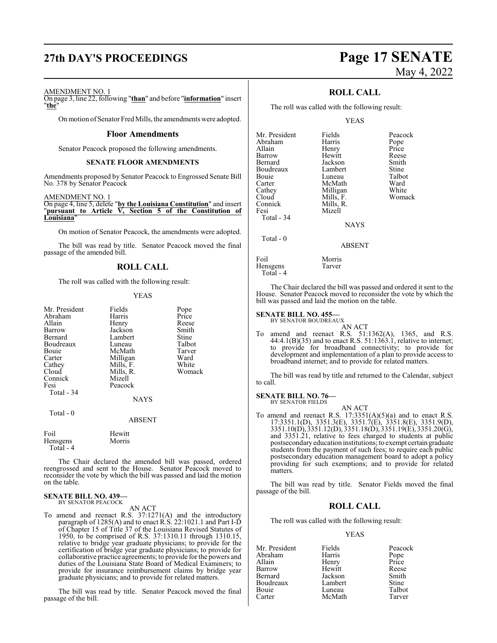## **27th DAY'S PROCEEDINGS Page 17 SENATE**

# May 4, 2022

### AMENDMENT NO. 1

On page 3, line 22, following "**than**" and before "**information**" insert "**the**"

On motion of Senator Fred Mills, the amendments were adopted.

### **Floor Amendments**

Senator Peacock proposed the following amendments.

### **SENATE FLOOR AMENDMENTS**

Amendments proposed by Senator Peacock to Engrossed Senate Bill No. 378 by Senator Peacock

### AMENDMENT NO. 1

On page 4, line 5, delete "**by the Louisiana Constitution**" and insert "**pursuant to Article V, Section 5 of the Constitution of Louisiana**"

On motion of Senator Peacock, the amendments were adopted.

The bill was read by title. Senator Peacock moved the final passage of the amended bill.

### **ROLL CALL**

The roll was called with the following result:

### YEAS

| Mr. President | Fields      | Pope   |
|---------------|-------------|--------|
| Abraham       | Harris      | Price  |
| Allain        | Henry       | Reese  |
| Barrow        | Jackson     | Smith  |
| Bernard       | Lambert     | Stine  |
| Boudreaux     | Luneau      | Talbot |
| Bouie         | McMath      | Tarver |
| Carter        | Milligan    | Ward   |
| Cathey        | Mills, F.   | White  |
| Cloud         | Mills, R.   | Womack |
| Connick       | Mizell      |        |
| Fesi          | Peacock     |        |
| Total $-34$   |             |        |
|               | <b>NAYS</b> |        |
| $Total - 0$   |             |        |

#### ABSENT

| Foil      | Hewitt |
|-----------|--------|
| Hensgens  | Morris |
| Total - 4 |        |

The Chair declared the amended bill was passed, ordered reengrossed and sent to the House. Senator Peacock moved to reconsider the vote by which the bill was passed and laid the motion on the table.

#### **SENATE BILL NO. 439—** BY SENATOR PEACOCK

AN ACT

To amend and reenact R.S. 37:1271(A) and the introductory paragraph of 1285(A) and to enact R.S. 22:1021.1 and Part I-D of Chapter 15 of Title 37 of the Louisiana Revised Statutes of 1950, to be comprised of R.S. 37:1310.11 through 1310.15, relative to bridge year graduate physicians; to provide for the certification of bridge year graduate physicians; to provide for collaborative practice agreements; to provide for the powers and duties of the Louisiana State Board of Medical Examiners; to provide for insurance reimbursement claims by bridge year graduate physicians; and to provide for related matters.

The bill was read by title. Senator Peacock moved the final passage of the bill.

### **ROLL CALL**

The roll was called with the following result:

### YEAS

| Mr. President<br>Abraham<br>Allain<br>Barrow<br>Bernard<br>Boudreaux<br>Bouie<br>Carter<br>Cathey<br>Cloud<br>Connick | Fields<br>Harris<br>Henry<br>Hewitt<br>Jackson<br>Lambert<br>Luneau<br>McMath<br>Milligan<br>Mills, F.<br>Mills, R. | Peacock<br>Pope<br>Price<br>Reese<br>Smith<br>Stine<br>Talbot<br>Ward<br>White<br>Womack |
|-----------------------------------------------------------------------------------------------------------------------|---------------------------------------------------------------------------------------------------------------------|------------------------------------------------------------------------------------------|
| Fesi<br>Total - 34<br>Total $-0$                                                                                      | Mizell<br><b>NAYS</b>                                                                                               |                                                                                          |
|                                                                                                                       | <b>ABSENT</b>                                                                                                       |                                                                                          |
| Foil                                                                                                                  | Morris                                                                                                              |                                                                                          |

The Chair declared the bill was passed and ordered it sent to the House. Senator Peacock moved to reconsider the vote by which the bill was passed and laid the motion on the table.

#### **SENATE BILL NO. 455—** BY SENATOR BOUDREAUX

Hensgens Tarver

Total - 4

AN ACT To amend and reenact R.S. 51:1362(A), 1365, and R.S. 44:4.1(B)(35) and to enact R.S. 51:1363.1, relative to internet; to provide for broadband connectivity; to provide for development and implementation of a plan to provide access to broadband internet; and to provide for related matters.

The bill was read by title and returned to the Calendar, subject to call.

### **SENATE BILL NO. 76—**

BY SENATOR FIELDS

AN ACT To amend and reenact R.S.  $17:3351(A)(5)(a)$  and to enact R.S. 17:3351.1(D), 3351.3(E), 3351.7(E), 3351.8(E), 3351.9(D), 3351.10(D), 3351.12(D), 3351.18(D), 3351.19(E), 3351.20(G), and 3351.21, relative to fees charged to students at public postsecondaryeducation institutions; to exempt certain graduate students from the payment of such fees; to require each public postsecondary education management board to adopt a policy providing for such exemptions; and to provide for related matters.

The bill was read by title. Senator Fields moved the final passage of the bill.

### **ROLL CALL**

The roll was called with the following result:

### YEAS

| Mr. President | Fields  | Peacock      |
|---------------|---------|--------------|
| Abraham       | Harris  | Pope         |
| Allain        | Henry   | Price        |
| Barrow        | Hewitt  | Reese        |
| Bernard       | Jackson | Smith        |
| Boudreaux     | Lambert | <b>Stine</b> |
| Bouie         | Luneau  | Talbot       |
| Carter        | McMath  | Tarver       |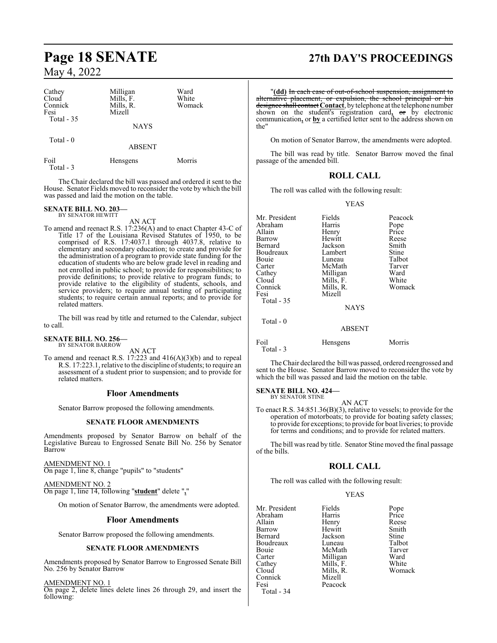| Cathey<br>Cloud<br>Connick<br>Fesi<br>Total - 35 | Milligan<br>Mills, F.<br>Mills, R.<br>Mizell<br><b>NAYS</b> | Ward<br>White<br>Womack |  |
|--------------------------------------------------|-------------------------------------------------------------|-------------------------|--|
| Total $-0$                                       | <b>ABSENT</b>                                               |                         |  |
| Foil<br>Total - 3                                | Hensgens                                                    | Morris                  |  |

The Chair declared the bill was passed and ordered it sent to the House. Senator Fields moved to reconsider the vote by which the bill was passed and laid the motion on the table.

#### **SENATE BILL NO. 203—** BY SENATOR HEWITT

AN ACT

To amend and reenact R.S. 17:236(A) and to enact Chapter 43-C of Title 17 of the Louisiana Revised Statutes of 1950, to be comprised of R.S. 17:4037.1 through 4037.8, relative to elementary and secondary education; to create and provide for the administration of a program to provide state funding for the education of students who are below grade level in reading and not enrolled in public school; to provide for responsibilities; to provide definitions; to provide relative to program funds; to provide relative to the eligibility of students, schools, and service providers; to require annual testing of participating students; to require certain annual reports; and to provide for related matters.

The bill was read by title and returned to the Calendar, subject to call.

## **SENATE BILL NO. 256—** BY SENATOR BARROW

AN ACT

To amend and reenact R.S. 17:223 and 416(A)(3)(b) and to repeal R.S. 17:223.1, relative to the discipline ofstudents; to require an assessment of a student prior to suspension; and to provide for related matters.

### **Floor Amendments**

Senator Barrow proposed the following amendments.

### **SENATE FLOOR AMENDMENTS**

Amendments proposed by Senator Barrow on behalf of the Legislative Bureau to Engrossed Senate Bill No. 256 by Senator Barrow

AMENDMENT NO. 1 On page 1, line 8, change "pupils" to "students"

AMENDMENT NO. 2 On page 1, line 14, following "**student**" delete "**,**"

On motion of Senator Barrow, the amendments were adopted.

### **Floor Amendments**

Senator Barrow proposed the following amendments.

### **SENATE FLOOR AMENDMENTS**

Amendments proposed by Senator Barrow to Engrossed Senate Bill No. 256 by Senator Barrow

AMENDMENT NO. 1

On page 2, delete lines delete lines 26 through 29, and insert the following:

## **Page 18 SENATE 27th DAY'S PROCEEDINGS**

"**(dd)** In each case of out-of-school suspension, assignment to alternative placement, or expulsion, the school principal or his designee shall contact **Contact**, bytelephone at the telephone number shown on the student's registration card**,** or by electronic communication**,** or **by** a certified letter sent to the address shown on the"

On motion of Senator Barrow, the amendments were adopted.

The bill was read by title. Senator Barrow moved the final passage of the amended bill.

### **ROLL CALL**

The roll was called with the following result:

### YEAS

| Mr. President | Fields          |         |
|---------------|-----------------|---------|
|               |                 | Peacock |
| Abraham       | Harris          | Pope    |
| Allain        | Henry           | Price   |
| Barrow        | Hewitt          | Reese   |
| Bernard       | Jackson         | Smith   |
| Boudreaux     | Lambert         | Stine   |
| Bouie         | Luneau          | Talbot  |
| Carter        | McMath          | Tarver  |
| Cathey        | Milligan        | Ward    |
| Cloud         | Mills, F.       | White   |
| Connick       | Mills, R.       | Womack  |
| Fesi          | Mizell          |         |
| Total $-35$   |                 |         |
|               | <b>NAYS</b>     |         |
| Total - 0     |                 |         |
|               | <b>ABSENT</b>   |         |
| Foil          | <b>Hensgens</b> | Morris  |

Total - 3

The Chair declared the bill was passed, ordered reengrossed and sent to the House. Senator Barrow moved to reconsider the vote by which the bill was passed and laid the motion on the table.

### **SENATE BILL NO. 424—** BY SENATOR STINE

AN ACT

To enact R.S. 34:851.36(B)(3), relative to vessels; to provide for the operation of motorboats; to provide for boating safety classes; to provide for exceptions; to provide for boat liveries; to provide for terms and conditions; and to provide for related matters.

The bill was read by title. Senator Stine moved the final passage of the bills.

### **ROLL CALL**

The roll was called with the following result:

### YEAS

| Mr. President | Fields    | Pope   |
|---------------|-----------|--------|
| Abraham       | Harris    | Price  |
| Allain        | Henry     | Reese  |
| Barrow        | Hewitt    | Smith  |
| Bernard       | Jackson   | Stine  |
| Boudreaux     | Luneau    | Talbot |
| Bouie         | McMath    | Tarver |
| Carter        | Milligan  | Ward   |
| Cathey        | Mills, F. | White  |
| Cloud         | Mills, R. | Womack |
| Connick       | Mizell    |        |
| Fesi          | Peacock   |        |
| Total - 34    |           |        |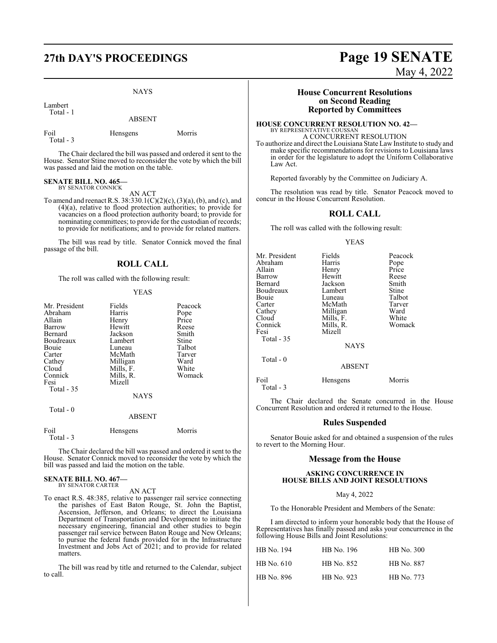NAYS

Lambert Total - 1

ABSENT

Foil Hensgens Morris Total - 3

The Chair declared the bill was passed and ordered it sent to the House. Senator Stine moved to reconsider the vote by which the bill was passed and laid the motion on the table.

### **SENATE BILL NO. 465—** BY SENATOR CONNICK

AN ACT

To amend and reenact R.S. 38:330.1(C)(2)(c), (3)(a), (b), and (c), and (4)(a), relative to flood protection authorities; to provide for vacancies on a flood protection authority board; to provide for nominating committees; to provide for the custodian of records; to provide for notifications; and to provide for related matters.

The bill was read by title. Senator Connick moved the final passage of the bill.

### **ROLL CALL**

The roll was called with the following result:

### YEAS

| Fields    | Peacock                                                 |
|-----------|---------------------------------------------------------|
| Harris    | Pope                                                    |
| Henry     | Price                                                   |
| Hewitt    | Reese                                                   |
|           | Smith                                                   |
| Lambert   | Stine                                                   |
| Luneau    | Talbot                                                  |
|           | Tarver                                                  |
| Milligan  | Ward                                                    |
| Mills, F. | White                                                   |
|           | Womack                                                  |
|           |                                                         |
|           |                                                         |
|           |                                                         |
|           |                                                         |
| ABSENT    |                                                         |
|           | Jackson<br>McMath<br>Mills, R.<br>Mizell<br><b>NAYS</b> |

| Foil      | Hensgens | Morris |
|-----------|----------|--------|
| Total - 3 |          |        |

The Chair declared the bill was passed and ordered it sent to the House. Senator Connick moved to reconsider the vote by which the bill was passed and laid the motion on the table.

#### **SENATE BILL NO. 467—** BY SENATOR CARTER

AN ACT

To enact R.S. 48:385, relative to passenger rail service connecting the parishes of East Baton Rouge, St. John the Baptist, Ascension, Jefferson, and Orleans; to direct the Louisiana Department of Transportation and Development to initiate the necessary engineering, financial and other studies to begin passenger rail service between Baton Rouge and New Orleans; to pursue the federal funds provided for in the Infrastructure Investment and Jobs Act of 2021; and to provide for related matters.

The bill was read by title and returned to the Calendar, subject to call.

# **27th DAY'S PROCEEDINGS Page 19 SENATE**

May 4, 2022

### **House Concurrent Resolutions on Second Reading Reported by Committees**

#### **HOUSE CONCURRENT RESOLUTION NO. 42—** BY REPRESENTATIVE COUSSAN A CONCURRENT RESOLUTION

To authorize and direct the Louisiana State LawInstitute to study and make specific recommendations for revisions to Louisiana laws in order for the legislature to adopt the Uniform Collaborative Law Act.

Reported favorably by the Committee on Judiciary A.

The resolution was read by title. Senator Peacock moved to concur in the House Concurrent Resolution.

### **ROLL CALL**

The roll was called with the following result:

### YEAS

| Mr. President<br>Abraham<br>Allain<br>Barrow<br>Bernard<br>Boudreaux<br>Bouie<br>Carter<br>Cathey<br>Cloud | Fields<br>Harris<br>Henry<br>Hewitt<br>Jackson<br>Lambert<br>Luneau<br>McMath<br>Milligan<br>Mills, F. | Peacock<br>Pope<br>Price<br>Reese<br>Smith<br>Stine<br>Talbot<br>Tarver<br>Ward<br>White |
|------------------------------------------------------------------------------------------------------------|--------------------------------------------------------------------------------------------------------|------------------------------------------------------------------------------------------|
| Connick<br>Fesi<br>Total - 35<br>Total $-0$                                                                | Mills, R.<br>Mizell<br><b>NAYS</b>                                                                     | Womack                                                                                   |
|                                                                                                            | <b>ABSENT</b>                                                                                          |                                                                                          |
| Foil<br>Total - 3                                                                                          | Hensgens                                                                                               | Morris                                                                                   |

The Chair declared the Senate concurred in the House Concurrent Resolution and ordered it returned to the House.

### **Rules Suspended**

Senator Bouie asked for and obtained a suspension of the rules to revert to the Morning Hour.

### **Message from the House**

### **ASKING CONCURRENCE IN HOUSE BILLS AND JOINT RESOLUTIONS**

### May 4, 2022

To the Honorable President and Members of the Senate:

I am directed to inform your honorable body that the House of Representatives has finally passed and asks your concurrence in the following House Bills and Joint Resolutions:

| HB No. 194 | HB No. 196 | HB No. 300        |
|------------|------------|-------------------|
| HB No. 610 | HB No. 852 | <b>HB</b> No. 887 |
| HB No. 896 | HB No. 923 | HB No. 773        |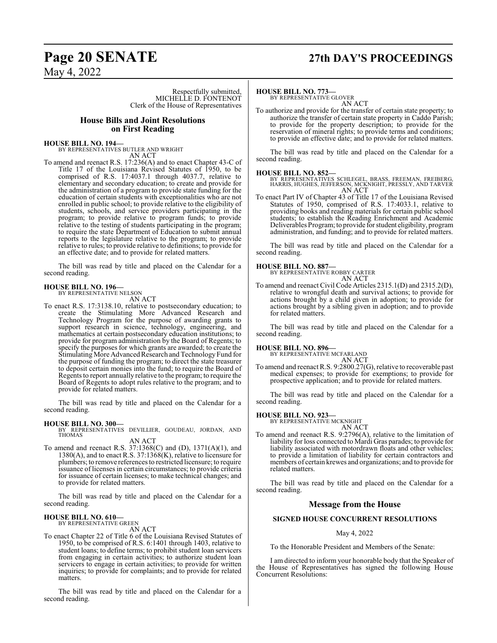## **Page 20 SENATE 27th DAY'S PROCEEDINGS**

May 4, 2022

Respectfully submitted, MICHELLE D. FONTENOT Clerk of the House of Representatives

### **House Bills and Joint Resolutions on First Reading**

**HOUSE BILL NO. 194—**

BY REPRESENTATIVES BUTLER AND WRIGHT AN ACT

To amend and reenact R.S. 17:236(A) and to enact Chapter 43-C of Title 17 of the Louisiana Revised Statutes of 1950, to be comprised of R.S. 17:4037.1 through 4037.7, relative to elementary and secondary education; to create and provide for the administration of a program to provide state funding for the education of certain students with exceptionalities who are not enrolled in public school; to provide relative to the eligibility of students, schools, and service providers participating in the program; to provide relative to program funds; to provide relative to the testing of students participating in the program; to require the state Department of Education to submit annual reports to the legislature relative to the program; to provide relative to rules; to provide relative to definitions; to provide for an effective date; and to provide for related matters.

The bill was read by title and placed on the Calendar for a second reading.

## **HOUSE BILL NO. 196—** BY REPRESENTATIVE NELSON

AN ACT

To enact R.S. 17:3138.10, relative to postsecondary education; to create the Stimulating More Advanced Research and Technology Program for the purpose of awarding grants to support research in science, technology, engineering, and mathematics at certain postsecondary education institutions; to provide for program administration by the Board of Regents; to specify the purposes for which grants are awarded; to create the Stimulating More Advanced Research and Technology Fund for the purpose of funding the program; to direct the state treasurer to deposit certain monies into the fund; to require the Board of Regents to report annually relative to the program; to require the Board of Regents to adopt rules relative to the program; and to provide for related matters.

The bill was read by title and placed on the Calendar for a second reading.

**HOUSE BILL NO. 300—** BY REPRESENTATIVES DEVILLIER, GOUDEAU, JORDAN, AND THOMAS AN ACT

To amend and reenact R.S. 37:1368(C) and (D), 1371(A)(1), and  $1380(A)$ , and to enact R.S. 37:1368(K), relative to licensure for plumbers; to remove references to restricted licensure; to require issuance of licenses in certain circumstances; to provide criteria for issuance of certain licenses; to make technical changes; and to provide for related matters.

The bill was read by title and placed on the Calendar for a second reading.

### **HOUSE BILL NO. 610—**

BY REPRESENTATIVE GREEN AN ACT

To enact Chapter 22 of Title 6 of the Louisiana Revised Statutes of 1950, to be comprised of R.S. 6:1401 through 1403, relative to student loans; to define terms; to prohibit student loan servicers from engaging in certain activities; to authorize student loan servicers to engage in certain activities; to provide for written inquiries; to provide for complaints; and to provide for related matters.

The bill was read by title and placed on the Calendar for a second reading.

### **HOUSE BILL NO. 773—**

BY REPRESENTATIVE GLOVER AN ACT

To authorize and provide for the transfer of certain state property; to authorize the transfer of certain state property in Caddo Parish; to provide for the property description; to provide for the reservation of mineral rights; to provide terms and conditions; to provide an effective date; and to provide for related matters.

The bill was read by title and placed on the Calendar for a second reading.

**HOUSE BILL NO. 852—** BY REPRESENTATIVES SCHLEGEL, BRASS, FREEMAN, FREIBERG, HARRIS, HUGHES, JEFFERSON, MCKNIGHT, PRESSLY, AND TARVER AN ACT

To enact Part IV of Chapter 43 of Title 17 of the Louisiana Revised Statutes of 1950, comprised of R.S. 17:4033.1, relative to providing books and reading materials for certain public school students; to establish the Reading Enrichment and Academic Deliverables Program; to provide for student eligibility, program administration, and funding; and to provide for related matters.

The bill was read by title and placed on the Calendar for a second reading.

**HOUSE BILL NO. 887—** BY REPRESENTATIVE ROBBY CARTER AN ACT

To amend and reenact Civil Code Articles 2315.1(D) and 2315.2(D), relative to wrongful death and survival actions; to provide for actions brought by a child given in adoption; to provide for actions brought by a sibling given in adoption; and to provide for related matters.

The bill was read by title and placed on the Calendar for a second reading.

**HOUSE BILL NO. 896—** BY REPRESENTATIVE MCFARLAND AN ACT

To amend and reenact R.S. 9:2800.27(G), relative to recoverable past medical expenses; to provide for exemptions; to provide for prospective application; and to provide for related matters.

The bill was read by title and placed on the Calendar for a second reading.

### **HOUSE BILL NO. 923—**

BY REPRESENTATIVE MCKNIGHT

AN ACT

To amend and reenact R.S. 9:2796(A), relative to the limitation of liability for loss connected to Mardi Gras parades; to provide for liability associated with motordrawn floats and other vehicles; to provide a limitation of liability for certain contractors and members of certain krewes and organizations; and to provide for related matters.

The bill was read by title and placed on the Calendar for a second reading.

### **Message from the House**

### **SIGNED HOUSE CONCURRENT RESOLUTIONS**

### May 4, 2022

To the Honorable President and Members of the Senate:

I am directed to inform your honorable body that the Speaker of the House of Representatives has signed the following House Concurrent Resolutions: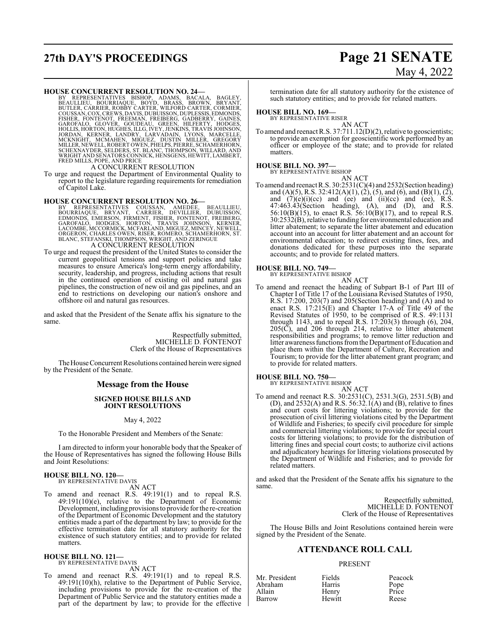## **27th DAY'S PROCEEDINGS Page 21 SENATE**

# May 4, 2022

HOUSE CONCURRENT RESOLUTION NO. 24—<br>BY REPRESENTATIVES BISHOP, ADAMS, BACALA, BAGLEY,<br>BEAULLIEU, BOURRIAQUE, BOYD, BRASS, BROWN, BRYANT,<br>BUTLER, CARRIER, ROBBY CARTER, WILFORD CARTER, CORMIER,<br>COUSSAN, COX, CREWS, DAVIS, D

A CONCURRENT RESOLUTION

To urge and request the Department of Environmental Quality to report to the legislature regarding requirements for remediation of Capitol Lake.

### **HOUSE CONCURRENT RESOLUTION NO. 26—**

BY REPRESENTATIVES COUSSAN, AMEDEE, BEAULLIEU,<br>BOURRIAQUE, BRYANT, CARRIER, DEVILLIER, DUBUISSON,<br>EDMONDS, EMERSON, FIRMENT, FISHER, FONTENOT, FREIBERG,<br>GAROFALÓ, HODGES, HORTON, TRAVÍS JOHNSON, KERNER,<br>LACOMBE, MCCORMICK, A CONCURRENT RESOLUTION

To urge and request the president of the United States to consider the current geopolitical tensions and support policies and take measures to ensure America's long-term energy affordability, security, leadership, and progress, including actions that result in the continued operation of existing oil and natural gas pipelines, the construction of new oil and gas pipelines, and an end to restrictions on developing our nation's onshore and offshore oil and natural gas resources.

and asked that the President of the Senate affix his signature to the same.

> Respectfully submitted, MICHELLE D. FONTENOT Clerk of the House of Representatives

The House Concurrent Resolutions contained herein were signed by the President of the Senate.

### **Message from the House**

### **SIGNED HOUSE BILLS AND JOINT RESOLUTIONS**

### May 4, 2022

To the Honorable President and Members of the Senate:

I am directed to inform your honorable body that the Speaker of the House of Representatives has signed the following House Bills and Joint Resolutions:

### **HOUSE BILL NO. 120—**

BY REPRESENTATIVE DAVIS AN ACT

To amend and reenact R.S. 49:191(1) and to repeal R.S. 49:191(10)(e), relative to the Department of Economic Development, including provisions to provide for the re-creation of the Department of Economic Development and the statutory entities made a part of the department by law; to provide for the effective termination date for all statutory authority for the existence of such statutory entities; and to provide for related matters.

### **HOUSE BILL NO. 121—** BY REPRESENTATIVE DAVIS

AN ACT

To amend and reenact R.S. 49:191(1) and to repeal R.S. 49:191(10)(h), relative to the Department of Public Service, including provisions to provide for the re-creation of the Department of Public Service and the statutory entities made a part of the department by law; to provide for the effective termination date for all statutory authority for the existence of such statutory entities; and to provide for related matters.

### **HOUSE BILL NO. 169—**

BY REPRESENTATIVE RISER AN ACT

To amend and reenact R.S. 37:711.12(D)(2), relative to geoscientists; to provide an exemption for geoscientific work performed by an officer or employee of the state; and to provide for related matters.

### **HOUSE BILL NO. 397—** BY REPRESENTATIVE BISHOP

AN ACT To amend and reenact R.S. 30:2531(C)(4) and 2532(Section heading) and (A)(5), R.S. 32:412(A)(1), (2), (5), and (6), and (B)(1), (2), and  $(7)(e)(i)(ce)$  and  $(ee)$  and  $(ii)(ce)$  and  $(ee)$ , R.S. 47:463.43(Section heading), (A), and (D), and R.S.  $56:10(B)(15)$ , to enact R.S.  $56:10(B)(17)$ , and to repeal R.S. 30:2532(B), relative to funding for environmental education and litter abatement; to separate the litter abatement and education account into an account for litter abatement and an account for environmental education; to redirect existing fines, fees, and donations dedicated for these purposes into the separate accounts; and to provide for related matters.

### **HOUSE BILL NO. 749—**

BY REPRESENTATIVE BISHOP AN ACT

To amend and reenact the heading of Subpart B-1 of Part III of Chapter I of Title 17 of the Louisiana Revised Statutes of 1950, R.S. 17:200, 203(7) and 205(Section heading) and (A) and to enact R.S.  $17:215(E)$  and Chapter 17-A of Title 49 of the Revised Statutes of 1950, to be comprised of R.S. 49:1131 through 1143, and to repeal R.S. 17:203(3) through (6), 204, 205(C), and 206 through 214, relative to litter abatement responsibilities and programs; to remove litter reduction and litter awareness functions from the Department of Education and place them within the Department of Culture, Recreation and Tourism; to provide for the litter abatement grant program; and to provide for related matters.

### **HOUSE BILL NO. 750—**

BY REPRESENTATIVE BISHOP

AN ACT To amend and reenact R.S. 30:2531(C), 2531.3(G), 2531.5(B) and (D), and  $2532(A)$  and R.S. 56:32.1(A) and (B), relative to fines and court costs for littering violations; to provide for the prosecution of civil littering violations cited by the Department of Wildlife and Fisheries; to specify civil procedure for simple and commercial littering violations; to provide for special court costs for littering violations; to provide for the distribution of littering fines and special court costs; to authorize civil actions and adjudicatory hearings for littering violations prosecuted by the Department of Wildlife and Fisheries; and to provide for related matters.

and asked that the President of the Senate affix his signature to the same.

> Respectfully submitted, MICHELLE D. FONTENOT Clerk of the House of Representatives

The House Bills and Joint Resolutions contained herein were signed by the President of the Senate.

### **ATTENDANCE ROLL CALL**

### PRESENT

| Mr. President | Fields | Peacock       |
|---------------|--------|---------------|
| Abraham       | Harris | Pope<br>Price |
| Allain        | Henry  |               |
| Barrow        | Hewitt | Reese         |